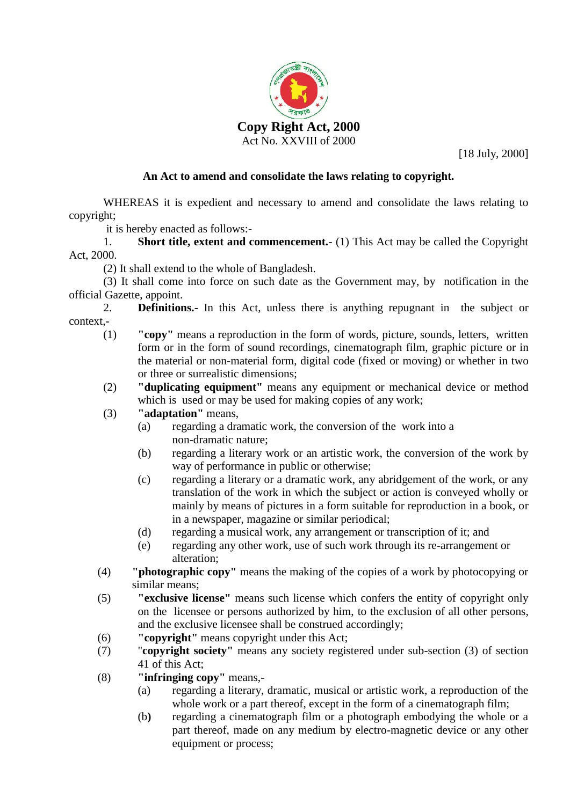

[18 July, 2000]

## **An Act to amend and consolidate the laws relating to copyright***.*

WHEREAS it is expedient and necessary to amend and consolidate the laws relating to copyright;

it is hereby enacted as follows:-

1. **Short title, extent and commencement.**- (1) This Act may be called the Copyright Act, 2000.

(2) It shall extend to the whole of Bangladesh.

(3) It shall come into force on such date as the Government may, by notification in the official Gazette, appoint.

2. **Definitions.-** In this Act, unless there is anything repugnant in the subject or context,-

- (1) **"copy"** means a reproduction in the form of words, picture, sounds, letters, written form or in the form of sound recordings, cinematograph film, graphic picture or in the material or non-material form, digital code (fixed or moving) or whether in two or three or surrealistic dimensions;
- (2) **"duplicating equipment"** means any equipment or mechanical device or method which is used or may be used for making copies of any work;
- (3) **"adaptation"** means,
	- (a) regarding a dramatic work, the conversion of the work into a non-dramatic nature;
	- (b) regarding a literary work or an artistic work, the conversion of the work by way of performance in public or otherwise;
	- (c) regarding a literary or a dramatic work, any abridgement of the work, or any translation of the work in which the subject or action is conveyed wholly or mainly by means of pictures in a form suitable for reproduction in a book, or in a newspaper, magazine or similar periodical;
	- (d) regarding a musical work, any arrangement or transcription of it; and
	- (e) regarding any other work, use of such work through its re-arrangement or alteration;
- (4) **"photographic copy"** means the making of the copies of a work by photocopying or similar means;
- (5) **"exclusive license"** means such license which confers the entity of copyright only on the licensee or persons authorized by him, to the exclusion of all other persons, and the exclusive licensee shall be construed accordingly;
- (6) **"copyright"** means copyright under this Act;
- (7) "**copyright society"** means any society registered under sub-section (3) of section 41 of this Act;
- (8) **"infringing copy"** means,-
	- (a) regarding a literary, dramatic, musical or artistic work, a reproduction of the whole work or a part thereof, except in the form of a cinematograph film;
	- (b**)** regarding a cinematograph film or a photograph embodying the whole or a part thereof, made on any medium by electro-magnetic device or any other equipment or process;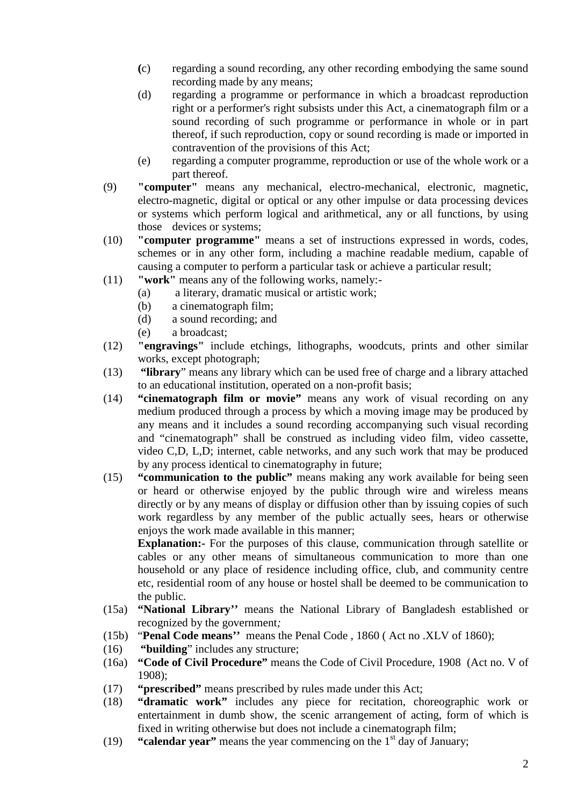- **(**c) regarding a sound recording, any other recording embodying the same sound recording made by any means;
- (d) regarding a programme or performance in which a broadcast reproduction right or a performer's right subsists under this Act, a cinematograph film or a sound recording of such programme or performance in whole or in part thereof, if such reproduction, copy or sound recording is made or imported in contravention of the provisions of this Act;
- (e) regarding a computer programme, reproduction or use of the whole work or a part thereof.
- (9) **"computer"** means any mechanical, electro-mechanical, electronic, magnetic, electro-magnetic, digital or optical or any other impulse or data processing devices or systems which perform logical and arithmetical, any or all functions, by using those devices or systems;
- (10) **"computer programme"** means a set of instructions expressed in words, codes, schemes or in any other form, including a machine readable medium, capable of causing a computer to perform a particular task or achieve a particular result;
- (11) **"work"** means any of the following works, namely:-
	- (a) a literary, dramatic musical or artistic work;
	- (b) a cinematograph film;
	- (d) a sound recording; and
	- (e) a broadcast;
- (12) **"engravings"** include etchings, lithographs, woodcuts, prints and other similar works, except photograph;
- (13) **"library**" means any library which can be used free of charge and a library attached to an educational institution, operated on a non-profit basis;
- (14) **"cinematograph film or movie"** means any work of visual recording on any medium produced through a process by which a moving image may be produced by any means and it includes a sound recording accompanying such visual recording and "cinematograph" shall be construed as including video film, video cassette, video C,D, L,D; internet, cable networks, and any such work that may be produced by any process identical to cinematography in future;
- (15) **"communication to the public"** means making any work available for being seen or heard or otherwise enjoyed by the public through wire and wireless means directly or by any means of display or diffusion other than by issuing copies of such work regardless by any member of the public actually sees, hears or otherwise enjoys the work made available in this manner;

**Explanation:** For the purposes of this clause, communication through satellite or cables or any other means of simultaneous communication to more than one household or any place of residence including office, club, and community centre etc, residential room of any house or hostel shall be deemed to be communication to the public.

- (15a) **"National Library''** means the National Library of Bangladesh established or recognized by the government*;*
- (15b) "**Penal Code means''** means the Penal Code , 1860 ( Act no .XLV of 1860);
- (16) **"building**" includes any structure;
- (16a) **"Code of Civil Procedure"** means the Code of Civil Procedure, 1908 (Act no. V of 1908);
- (17) **"prescribed"** means prescribed by rules made under this Act;
- (18) **"dramatic work"** includes any piece for recitation, choreographic work or entertainment in dumb show, the scenic arrangement of acting, form of which is fixed in writing otherwise but does not include a cinematograph film;
- (19) **"calendar year"** means the year commencing on the 1<sup>st</sup> day of January;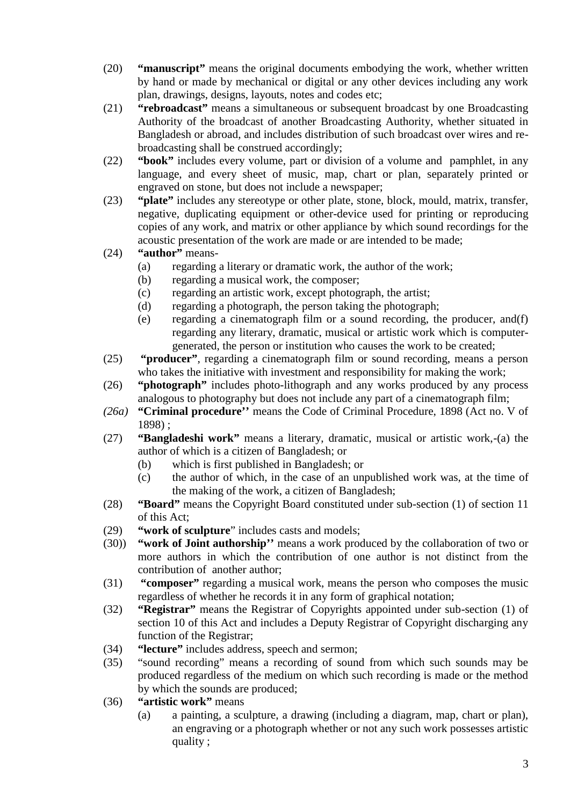- (20) **"manuscript"** means the original documents embodying the work, whether written by hand or made by mechanical or digital or any other devices including any work plan, drawings, designs, layouts, notes and codes etc;
- (21) **"rebroadcast"** means a simultaneous or subsequent broadcast by one Broadcasting Authority of the broadcast of another Broadcasting Authority, whether situated in Bangladesh or abroad, and includes distribution of such broadcast over wires and re broadcasting shall be construed accordingly;
- (22) **"book"** includes every volume, part or division of a volume and pamphlet, in any language, and every sheet of music, map, chart or plan, separately printed or engraved on stone, but does not include a newspaper;
- (23) **"plate"** includes any stereotype or other plate, stone, block, mould, matrix, transfer, negative, duplicating equipment or other-device used for printing or reproducing copies of any work, and matrix or other appliance by which sound recordings for the acoustic presentation of the work are made or are intended to be made;
- (24) **"author"** means-
	- (a) regarding a literary or dramatic work, the author of the work;
	- (b) regarding a musical work, the composer;
	- (c) regarding an artistic work, except photograph, the artist;
	- (d) regarding a photograph, the person taking the photograph;
	- (e) regarding a cinematograph film or a sound recording, the producer, and(f) regarding any literary, dramatic, musical or artistic work which is computer generated, the person or institution who causes the work to be created;
- (25) **"producer"**, regarding a cinematograph film or sound recording, means a person who takes the initiative with investment and responsibility for making the work;
- (26) **"photograph"** includes photo-lithograph and any works produced by any process analogous to photography but does not include any part of a cinematograph film;
- *(26a)* **"Criminal procedure''** means the Code of Criminal Procedure, 1898 (Act no. V of 1898) ;
- (27) **"Bangladeshi work"** means a literary, dramatic, musical or artistic work,-(a) the author of which is a citizen of Bangladesh; or
	- (b) which is first published in Bangladesh; or
	- (c) the author of which, in the case of an unpublished work was, at the time of the making of the work, a citizen of Bangladesh;
- (28) **"Board"** means the Copyright Board constituted under sub-section (1) of section 11 of this Act;
- (29) **"work of sculpture**" includes casts and models;
- (30)) **"work of Joint authorship''** means a work produced by the collaboration of two or more authors in which the contribution of one author is not distinct from the contribution of another author;
- (31) **"composer"** regarding a musical work, means the person who composes the music regardless of whether he records it in any form of graphical notation;
- (32) **"Registrar"** means the Registrar of Copyrights appointed under sub-section (1) of section 10 of this Act and includes a Deputy Registrar of Copyright discharging any function of the Registrar;
- (34) **"lecture"** includes address, speech and sermon;
- (35) "sound recording" means a recording of sound from which such sounds may be produced regardless of the medium on which such recording is made or the method by which the sounds are produced;
- (36) **"artistic work"** means
	- (a) a painting, a sculpture, a drawing (including a diagram, map, chart or plan), an engraving or a photograph whether or not any such work possesses artistic quality ;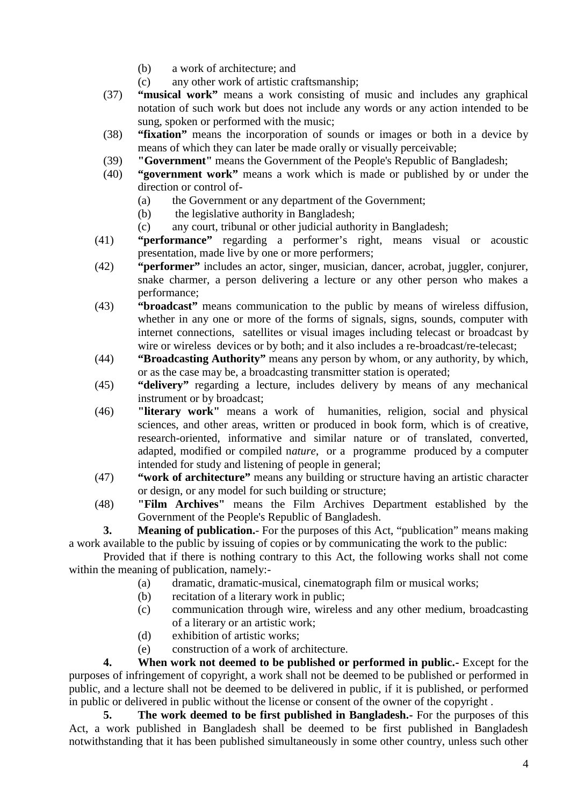- (b) a work of architecture; and
- (c) any other work of artistic craftsmanship;
- (37) **"musical work"** means a work consisting of music and includes any graphical notation of such work but does not include any words or any action intended to be sung, spoken or performed with the music;
- (38) **"fixation"** means the incorporation of sounds or images or both in a device by means of which they can later be made orally or visually perceivable;
- (39) **"Government"** means the Government of the People's Republic of Bangladesh;
- (40) **"government work"** means a work which is made or published by or under the direction or control of-
	- (a) the Government or any department of the Government;
	- (b) the legislative authority in Bangladesh;
	- (c) any court, tribunal or other judicial authority in Bangladesh;
- (41) **"performance"** regarding a performer's right, means visual or acoustic presentation, made live by one or more performers;
- (42) **"performer"** includes an actor, singer, musician, dancer, acrobat, juggler, conjurer, snake charmer, a person delivering a lecture or any other person who makes a performance;
- (43) **"broadcast"** means communication to the public by means of wireless diffusion, whether in any one or more of the forms of signals, signs, sounds, computer with internet connections, satellites or visual images including telecast or broadcast by wire or wireless devices or by both; and it also includes a re-broadcast/re-telecast;
- (44) **"Broadcasting Authority"** means any person by whom, or any authority, by which, or as the case may be, a broadcasting transmitter station is operated;
- (45) **"delivery"** regarding a lecture, includes delivery by means of any mechanical instrument or by broadcast;
- (46) **"literary work"** means a work of humanities, religion, social and physical sciences, and other areas, written or produced in book form, which is of creative, research-oriented, informative and similar nature or of translated, converted, adapted, modified or compiled n*ature*, or a programme produced by a computer intended for study and listening of people in general;
- (47) **"work of architecture"** means any building or structure having an artistic character or design, or any model for such building or structure;
- (48) **"Film Archives"** means the Film Archives Department established by the Government of the People's Republic of Bangladesh.

**3. Meaning of publication.**- For the purposes of this Act, "publication" means making a work available to the public by issuing of copies or by communicating the work to the public:

Provided that if there is nothing contrary to this Act, the following works shall not come within the meaning of publication, namely:-

- (a) dramatic, dramatic-musical, cinematograph film or musical works;
- (b) recitation of a literary work in public;
- (c) communication through wire, wireless and any other medium, broadcasting of a literary or an artistic work;
- (d) exhibition of artistic works;
- (e) construction of a work of architecture.

**4. When work not deemed to be published or performed in public.-** Except for the purposes of infringement of copyright, a work shall not be deemed to be published or performed in public, and a lecture shall not be deemed to be delivered in public, if it is published, or performed in public or delivered in public without the license or consent of the owner of the copyright .

**5. The work deemed to be first published in Bangladesh.-** For the purposes of this Act, a work published in Bangladesh shall be deemed to be first published in Bangladesh notwithstanding that it has been published simultaneously in some other country, unless such other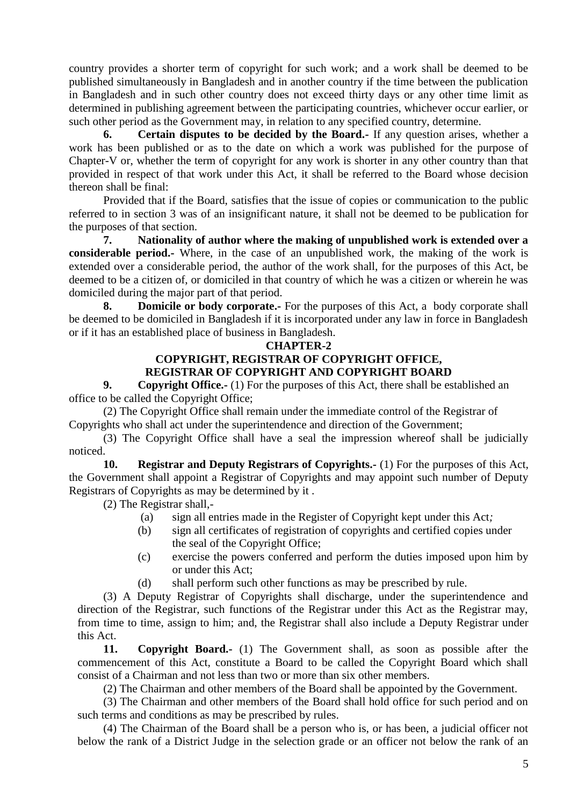country provides a shorter term of copyright for such work; and a work shall be deemed to be published simultaneously in Bangladesh and in another country if the time between the publication in Bangladesh and in such other country does not exceed thirty days or any other time limit as determined in publishing agreement between the participating countries, whichever occur earlier, or such other period as the Government may, in relation to any specified country, determine.

**6. Certain disputes to be decided by the Board.-** If any question arises, whether a work has been published or as to the date on which a work was published for the purpose of Chapter-V or, whether the term of copyright for any work is shorter in any other country than that provided in respect of that work under this Act, it shall be referred to the Board whose decision thereon shall be final:

Provided that if the Board, satisfies that the issue of copies or communication to the public referred to in section 3 was of an insignificant nature, it shall not be deemed to be publication for the purposes of that section.

**7. Nationality of author where the making of unpublished work is extended over a considerable period.-** Where, in the case of an unpublished work, the making of the work is extended over a considerable period, the author of the work shall, for the purposes of this Act, be deemed to be a citizen of, or domiciled in that country of which he was a citizen or wherein he was domiciled during the major part of that period.

**8. Domicile or body corporate.-** For the purposes of this Act, a body corporate shall be deemed to be domiciled in Bangladesh if it is incorporated under any law in force in Bangladesh or if it has an established place of business in Bangladesh.

#### **CHAPTER-2**

#### **COPYRIGHT, REGISTRAR OF COPYRIGHT OFFICE, REGISTRAR OF COPYRIGHT AND COPYRIGHT BOARD**

**9. Copyright Office.-** (1) For the purposes of this Act, there shall be established an office to be called the Copyright Office;

(2) The Copyright Office shall remain under the immediate control of the Registrar of Copyrights who shall act under the superintendence and direction of the Government;

(3) The Copyright Office shall have a seal the impression whereof shall be judicially noticed.

**10. Registrar and Deputy Registrars of Copyrights.-** (1) For the purposes of this Act, the Government shall appoint a Registrar of Copyrights and may appoint such number of Deputy Registrars of Copyrights as may be determined by it .

(2) The Registrar shall,-

- (a) sign all entries made in the Register of Copyright kept under this Act*;*
- (b) sign all certificates of registration of copyrights and certified copies under the seal of the Copyright Office;
- (c) exercise the powers conferred and perform the duties imposed upon him by or under this Act;
- (d) shall perform such other functions as may be prescribed by rule.

(3) A Deputy Registrar of Copyrights shall discharge, under the superintendence and direction of the Registrar, such functions of the Registrar under this Act as the Registrar may, from time to time, assign to him; and, the Registrar shall also include a Deputy Registrar under this Act.

**11. Copyright Board.-** (1) The Government shall, as soon as possible after the commencement of this Act, constitute a Board to be called the Copyright Board which shall consist of a Chairman and not less than two or more than six other members.

(2) The Chairman and other members of the Board shall be appointed by the Government.

(3) The Chairman and other members of the Board shall hold office for such period and on such terms and conditions as may be prescribed by rules.

(4) The Chairman of the Board shall be a person who is, or has been, a judicial officer not below the rank of a District Judge in the selection grade or an officer not below the rank of an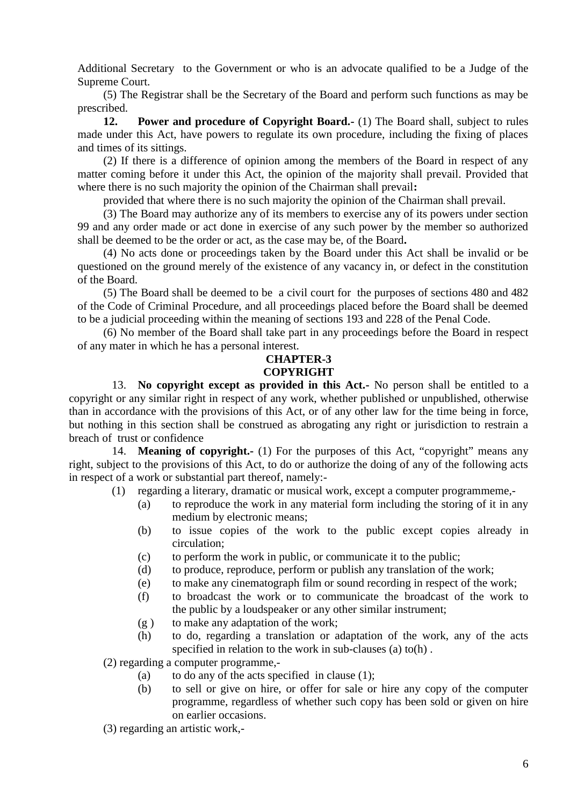Additional Secretary to the Government or who is an advocate qualified to be a Judge of the Supreme Court.

(5) The Registrar shall be the Secretary of the Board and perform such functions as may be prescribed.

**12. Power and procedure of Copyright Board.-** (1) The Board shall, subject to rules made under this Act, have powers to regulate its own procedure, including the fixing of places and times of its sittings.

(2) If there is a difference of opinion among the members of the Board in respect of any matter coming before it under this Act, the opinion of the majority shall prevail. Provided that where there is no such majority the opinion of the Chairman shall prevail**:**

provided that where there is no such majority the opinion of the Chairman shall prevail.

(3) The Board may authorize any of its members to exercise any of its powers under section 99 and any order made or act done in exercise of any such power by the member so authorized shall be deemed to be the order or act, as the case may be, of the Board**.**

(4) No acts done or proceedings taken by the Board under this Act shall be invalid or be questioned on the ground merely of the existence of any vacancy in, or defect in the constitution of the Board.

(5) The Board shall be deemed to be a civil court for the purposes of sections 480 and 482 of the Code of Criminal Procedure, and all proceedings placed before the Board shall be deemed to be a judicial proceeding within the meaning of sections 193 and 228 of the Penal Code.

(6) No member of the Board shall take part in any proceedings before the Board in respect of any mater in which he has a personal interest.

#### **CHAPTER-3 COPYRIGHT**

13. **No copyright except as provided in this Act.-** No person shall be entitled to a copyright or any similar right in respect of any work, whether published or unpublished, otherwise than in accordance with the provisions of this Act, or of any other law for the time being in force, but nothing in this section shall be construed as abrogating any right or jurisdiction to restrain a breach of trust or confidence

14. **Meaning of copyright.-** (1) For the purposes of this Act, "copyright" means any right, subject to the provisions of this Act, to do or authorize the doing of any of the following acts in respect of a work or substantial part thereof, namely:-

- (1) regarding a literary, dramatic or musical work, except a computer programmeme,-
	- (a) to reproduce the work in any material form including the storing of it in any medium by electronic means;
	- (b) to issue copies of the work to the public except copies already in circulation;
	- (c) to perform the work in public, or communicate it to the public;
	- (d) to produce, reproduce, perform or publish any translation of the work;
	- (e) to make any cinematograph film or sound recording in respect of the work;
	- (f) to broadcast the work or to communicate the broadcast of the work to the public by a loudspeaker or any other similar instrument;
	- (g ) to make any adaptation of the work;
	- (h) to do, regarding a translation or adaptation of the work, any of the acts specified in relation to the work in sub-clauses (a) to(h) .

(2) regarding a computer programme,-

- (a) to do any of the acts specified in clause  $(1)$ :
- (b) to sell or give on hire, or offer for sale or hire any copy of the computer programme, regardless of whether such copy has been sold or given on hire on earlier occasions.

(3) regarding an artistic work,-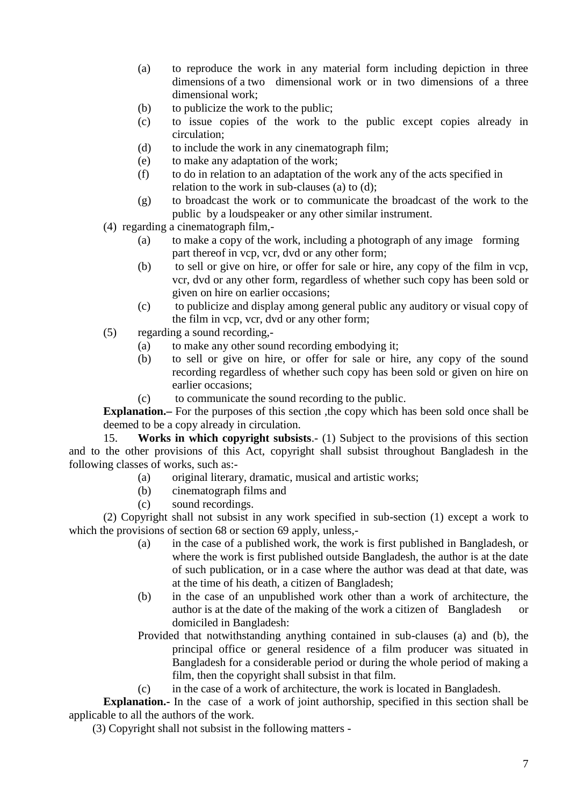- (a) to reproduce the work in any material form including depiction in three dimensions of a two dimensional work or in two dimensions of a three dimensional work;
- (b) to publicize the work to the public;
- (c) to issue copies of the work to the public except copies already in circulation;
- (d) to include the work in any cinematograph film;
- (e) to make any adaptation of the work;
- (f) to do in relation to an adaptation of the work any of the acts specified in relation to the work in sub-clauses (a) to (d);
- (g) to broadcast the work or to communicate the broadcast of the work to the public by a loudspeaker or any other similar instrument.
- (4) regarding a cinematograph film,-
	- (a) to make a copy of the work, including a photograph of any image forming part thereof in vcp, vcr, dvd or any other form;
	- (b) to sell or give on hire, or offer for sale or hire, any copy of the film in vcp, vcr, dvd or any other form, regardless of whether such copy has been sold or given on hire on earlier occasions;
	- (c) to publicize and display among general public any auditory or visual copy of the film in vcp, vcr, dvd or any other form;
- (5) regarding a sound recording,-
	- (a) to make any other sound recording embodying it;
	- (b) to sell or give on hire, or offer for sale or hire, any copy of the sound recording regardless of whether such copy has been sold or given on hire on earlier occasions;
	- (c) to communicate the sound recording to the public.

**Explanation.** For the purposes of this section, the copy which has been sold once shall be deemed to be a copy already in circulation.

15. **Works in which copyright subsists**.- (1) Subject to the provisions of this section and to the other provisions of this Act, copyright shall subsist throughout Bangladesh in the following classes of works, such as:-

- (a) original literary, dramatic, musical and artistic works;
- (b) cinematograph films and
- (c) sound recordings.

(2) Copyright shall not subsist in any work specified in sub-section (1) except a work to which the provisions of section 68 or section 69 apply, unless,-

- (a) in the case of a published work, the work is first published in Bangladesh, or where the work is first published outside Bangladesh, the author is at the date of such publication, or in a case where the author was dead at that date, was at the time of his death, a citizen of Bangladesh;
- (b) in the case of an unpublished work other than a work of architecture, the author is at the date of the making of the work a citizen of Bangladesh or domiciled in Bangladesh:
- Provided that notwithstanding anything contained in sub-clauses (a) and (b), the principal office or general residence of a film producer was situated in Bangladesh for a considerable period or during the whole period of making a film, then the copyright shall subsist in that film.
- (c) in the case of a work of architecture, the work is located in Bangladesh.

**Explanation.**- In the case of a work of joint authorship, specified in this section shall be applicable to all the authors of the work.

(3) Copyright shall not subsist in the following matters -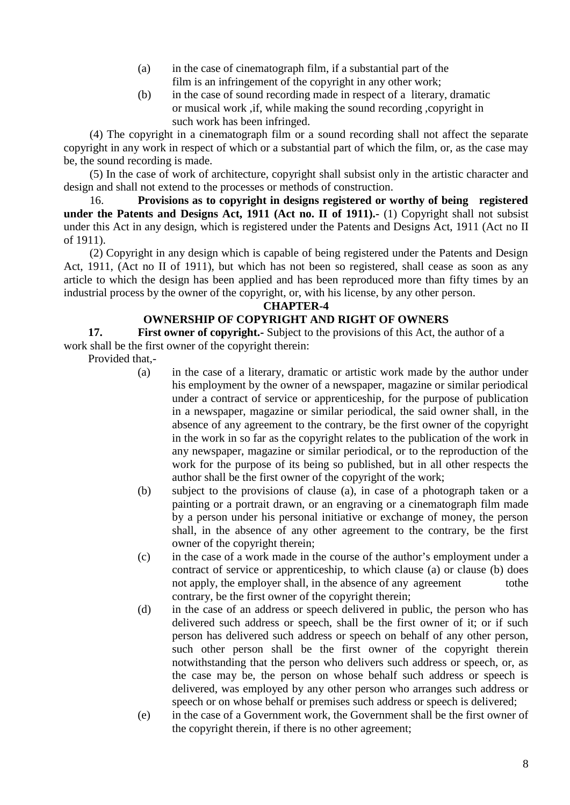- (a) in the case of cinematograph film, if a substantial part of the film is an infringement of the copyright in any other work;
- (b) in the case of sound recording made in respect of a literary, dramatic or musical work ,if, while making the sound recording ,copyright in such work has been infringed.

(4) The copyright in a cinematograph film or a sound recording shall not affect the separate copyright in any work in respect of which or a substantial part of which the film, or, as the case may be, the sound recording is made.

(5) In the case of work of architecture, copyright shall subsist only in the artistic character and design and shall not extend to the processes or methods of construction.

16. **Provisions as to copyright in designs registered or worthy of being registered under the Patents and Designs Act, 1911 (Act no. II of 1911).-** (1) Copyright shall not subsist under this Act in any design, which is registered under the Patents and Designs Act, 1911 (Act no II of 1911).

(2) Copyright in any design which is capable of being registered under the Patents and Design Act, 1911, (Act no II of 1911), but which has not been so registered, shall cease as soon as any article to which the design has been applied and has been reproduced more than fifty times by an industrial process by the owner of the copyright, or, with his license, by any other person.

#### **CHAPTER-4**

## **OWNERSHIP OF COPYRIGHT AND RIGHT OF OWNERS**

**17. First owner of copyright.-** Subject to the provisions of this Act, the author of a work shall be the first owner of the copyright therein:

Provided that,-

- (a) in the case of a literary, dramatic or artistic work made by the author under his employment by the owner of a newspaper, magazine or similar periodical under a contract of service or apprenticeship, for the purpose of publication in a newspaper, magazine or similar periodical, the said owner shall, in the absence of any agreement to the contrary, be the first owner of the copyright in the work in so far as the copyright relates to the publication of the work in any newspaper, magazine or similar periodical, or to the reproduction of the work for the purpose of its being so published, but in all other respects the author shall be the first owner of the copyright of the work;
- (b) subject to the provisions of clause (a), in case of a photograph taken or a painting or a portrait drawn, or an engraving or a cinematograph film made by a person under his personal initiative or exchange of money, the person shall, in the absence of any other agreement to the contrary, be the first owner of the copyright therein;
- (c) in the case of a work made in the course of the author's employment under a contract of service or apprenticeship, to which clause (a) or clause (b) does not apply, the employer shall, in the absence of any agreement tothe contrary, be the first owner of the copyright therein;
- (d) in the case of an address or speech delivered in public, the person who has delivered such address or speech, shall be the first owner of it; or if such person has delivered such address or speech on behalf of any other person, such other person shall be the first owner of the copyright therein notwithstanding that the person who delivers such address or speech, or, as the case may be, the person on whose behalf such address or speech is delivered, was employed by any other person who arranges such address or speech or on whose behalf or premises such address or speech is delivered;
- (e) in the case of a Government work, the Government shall be the first owner of the copyright therein, if there is no other agreement;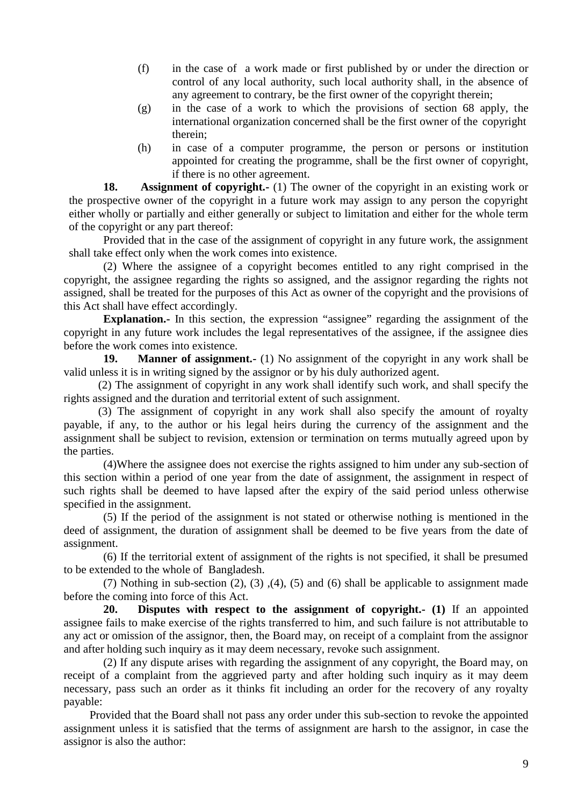- (f) in the case of a work made or first published by or under the direction or control of any local authority, such local authority shall, in the absence of any agreement to contrary, be the first owner of the copyright therein;
- (g) in the case of a work to which the provisions of section 68 apply, the international organization concerned shall be the first owner of the copyright therein;
- (h) in case of a computer programme, the person or persons or institution appointed for creating the programme, shall be the first owner of copyright, if there is no other agreement.

**18. Assignment of copyright.** (1) The owner of the copyright in an existing work or the prospective owner of the copyright in a future work may assign to any person the copyright either wholly or partially and either generally or subject to limitation and either for the whole term of the copyright or any part thereof:

Provided that in the case of the assignment of copyright in any future work, the assignment shall take effect only when the work comes into existence.

(2) Where the assignee of a copyright becomes entitled to any right comprised in the copyright, the assignee regarding the rights so assigned, and the assignor regarding the rights not assigned, shall be treated for the purposes of this Act as owner of the copyright and the provisions of this Act shall have effect accordingly.

**Explanation.**- In this section, the expression "assignee" regarding the assignment of the copyright in any future work includes the legal representatives of the assignee, if the assignee dies before the work comes into existence.

**19. Manner of assignment.-** (1) No assignment of the copyright in any work shall be valid unless it is in writing signed by the assignor or by his duly authorized agent.

(2) The assignment of copyright in any work shall identify such work, and shall specify the rights assigned and the duration and territorial extent of such assignment.

(3) The assignment of copyright in any work shall also specify the amount of royalty payable, if any, to the author or his legal heirs during the currency of the assignment and the assignment shall be subject to revision, extension or termination on terms mutually agreed upon by the parties.

(4)Where the assignee does not exercise the rights assigned to him under any sub-section of this section within a period of one year from the date of assignment, the assignment in respect of such rights shall be deemed to have lapsed after the expiry of the said period unless otherwise specified in the assignment.

(5) If the period of the assignment is not stated or otherwise nothing is mentioned in the deed of assignment, the duration of assignment shall be deemed to be five years from the date of assignment.

(6) If the territorial extent of assignment of the rights is not specified, it shall be presumed to be extended to the whole of Bangladesh.

(7) Nothing in sub-section (2), (3) ,(4), (5) and (6) shall be applicable to assignment made before the coming into force of this Act.

**20. Disputes with respect to the assignment of copyright.- (1)** If an appointed assignee fails to make exercise of the rights transferred to him, and such failure is not attributable to any act or omission of the assignor, then, the Board may, on receipt of a complaint from the assignor and after holding such inquiry as it may deem necessary, revoke such assignment.

(2) If any dispute arises with regarding the assignment of any copyright, the Board may, on receipt of a complaint from the aggrieved party and after holding such inquiry as it may deem necessary, pass such an order as it thinks fit including an order for the recovery of any royalty payable:

Provided that the Board shall not pass any order under this sub-section to revoke the appointed assignment unless it is satisfied that the terms of assignment are harsh to the assignor, in case the assignor is also the author: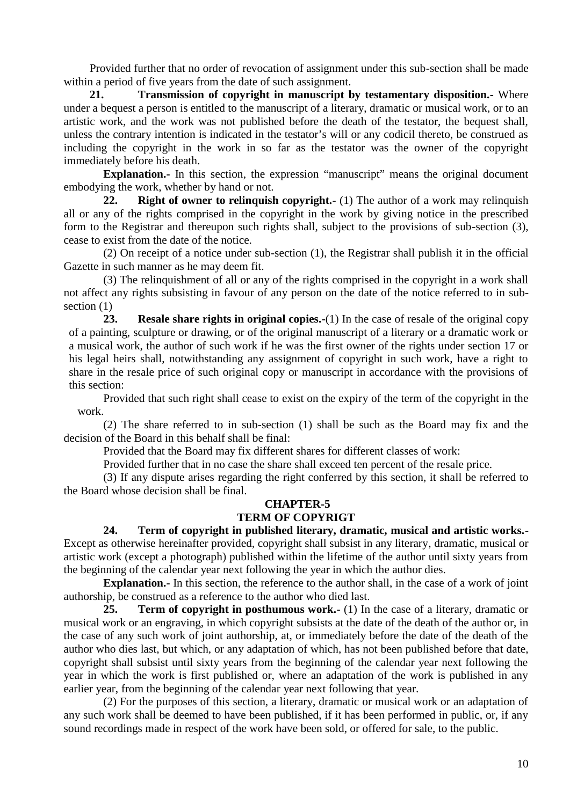Provided further that no order of revocation of assignment under this sub-section shall be made within a period of five years from the date of such assignment.

**21. Transmission of copyright in manuscript by testamentary disposition.-** Where under a bequest a person is entitled to the manuscript of a literary, dramatic or musical work, or to an artistic work, and the work was not published before the death of the testator, the bequest shall, unless the contrary intention is indicated in the testator's will or any codicil thereto, be construed as including the copyright in the work in so far as the testator was the owner of the copyright immediately before his death.

**Explanation.**- In this section, the expression "manuscript" means the original document embodying the work, whether by hand or not.

**22. Right of owner to relinquish copyright.-** (1) The author of a work may relinquish all or any of the rights comprised in the copyright in the work by giving notice in the prescribed form to the Registrar and thereupon such rights shall, subject to the provisions of sub-section (3), cease to exist from the date of the notice.

(2) On receipt of a notice under sub-section (1), the Registrar shall publish it in the official Gazette in such manner as he may deem fit.

(3) The relinquishment of all or any of the rights comprised in the copyright in a work shall not affect any rights subsisting in favour of any person on the date of the notice referred to in sub section  $(1)$ 

**23. Resale share rights in original copies.-**(1) In the case of resale of the original copy of a painting, sculpture or drawing, or of the original manuscript of a literary or a dramatic work or a musical work, the author of such work if he was the first owner of the rights under section 17 or his legal heirs shall, notwithstanding any assignment of copyright in such work, have a right to share in the resale price of such original copy or manuscript in accordance with the provisions of this section:

Provided that such right shall cease to exist on the expiry of the term of the copyright in the work.

(2) The share referred to in sub-section (1) shall be such as the Board may fix and the decision of the Board in this behalf shall be final:

Provided that the Board may fix different shares for different classes of work:

Provided further that in no case the share shall exceed ten percent of the resale price.

(3) If any dispute arises regarding the right conferred by this section, it shall be referred to the Board whose decision shall be final.

## **CHAPTER-5**

## **TERM OF COPYRIGT**

**24. Term of copyright in published literary, dramatic, musical and artistic works.-** Except as otherwise hereinafter provided, copyright shall subsist in any literary, dramatic, musical or artistic work (except a photograph) published within the lifetime of the author until sixty years from the beginning of the calendar year next following the year in which the author dies.

**Explanation.-** In this section, the reference to the author shall, in the case of a work of joint authorship, be construed as a reference to the author who died last.

**25. Term of copyright in posthumous work.-** (1) In the case of a literary, dramatic or musical work or an engraving, in which copyright subsists at the date of the death of the author or, in the case of any such work of joint authorship, at, or immediately before the date of the death of the author who dies last, but which, or any adaptation of which, has not been published before that date, copyright shall subsist until sixty years from the beginning of the calendar year next following the year in which the work is first published or, where an adaptation of the work is published in any earlier year, from the beginning of the calendar year next following that year.

(2) For the purposes of this section, a literary, dramatic or musical work or an adaptation of any such work shall be deemed to have been published, if it has been performed in public, or, if any sound recordings made in respect of the work have been sold, or offered for sale, to the public.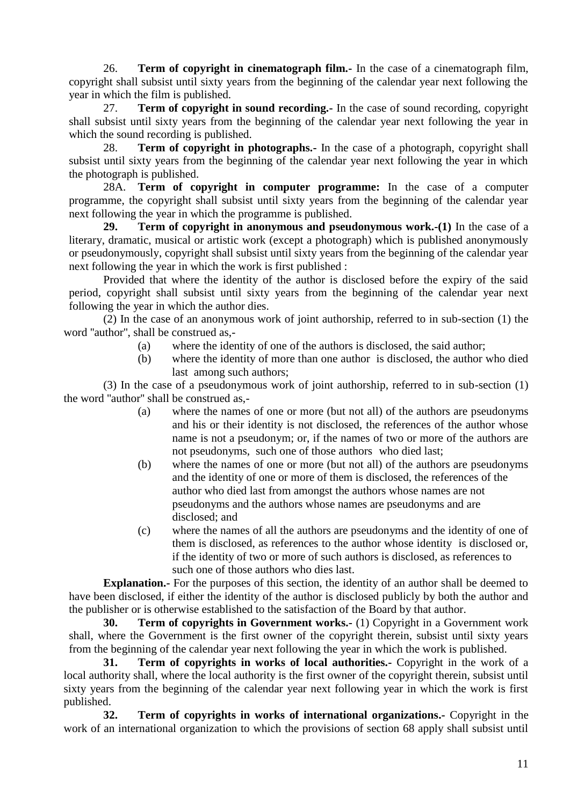26. **Term of copyright in cinematograph film.-** In the case of a cinematograph film, copyright shall subsist until sixty years from the beginning of the calendar year next following the year in which the film is published.

27. **Term of copyright in sound recording.-** In the case of sound recording, copyright shall subsist until sixty years from the beginning of the calendar year next following the year in which the sound recording is published.

28. **Term of copyright in photographs.-** In the case of a photograph, copyright shall subsist until sixty years from the beginning of the calendar year next following the year in which the photograph is published.

28A. **Term of copyright in computer programme:** In the case of a computer programme, the copyright shall subsist until sixty years from the beginning of the calendar year next following the year in which the programme is published.

**29. Term of copyright in anonymous and pseudonymous work.-(1)** In the case of a literary, dramatic, musical or artistic work (except a photograph) which is published anonymously or pseudonymously, copyright shall subsist until sixty years from the beginning of the calendar year next following the year in which the work is first published :

Provided that where the identity of the author is disclosed before the expiry of the said period, copyright shall subsist until sixty years from the beginning of the calendar year next following the year in which the author dies.

(2) In the case of an anonymous work of joint authorship, referred to in sub-section (1) the word ''author'', shall be construed as,-

- (a) where the identity of one of the authors is disclosed, the said author;
- (b) where the identity of more than one author is disclosed, the author who died last among such authors;

(3) In the case of a pseudonymous work of joint authorship, referred to in sub-section (1) the word ''author'' shall be construed as,-

- (a) where the names of one or more (but not all) of the authors are pseudonyms and his or their identity is not disclosed, the references of the author whose name is not a pseudonym; or, if the names of two or more of the authors are not pseudonyms, such one of those authors who died last;
- (b) where the names of one or more (but not all) of the authors are pseudonyms and the identity of one or more of them is disclosed, the references of the author who died last from amongst the authors whose names are not pseudonyms and the authors whose names are pseudonyms and are disclosed; and
- (c) where the names of all the authors are pseudonyms and the identity of one of them is disclosed, as references to the author whose identity is disclosed or, if the identity of two or more of such authors is disclosed, as references to such one of those authors who dies last.

**Explanation.**- For the purposes of this section, the identity of an author shall be deemed to have been disclosed, if either the identity of the author is disclosed publicly by both the author and the publisher or is otherwise established to the satisfaction of the Board by that author.

**30. Term of copyrights in Government works.-** (1) Copyright in a Government work shall, where the Government is the first owner of the copyright therein, subsist until sixty years from the beginning of the calendar year next following the year in which the work is published.

**31. Term of copyrights in works of local authorities.-** Copyright in the work of a local authority shall, where the local authority is the first owner of the copyright therein, subsist until sixty years from the beginning of the calendar year next following year in which the work is first published.

**32. Term of copyrights in works of international organizations.-** Copyright in the work of an international organization to which the provisions of section 68 apply shall subsist until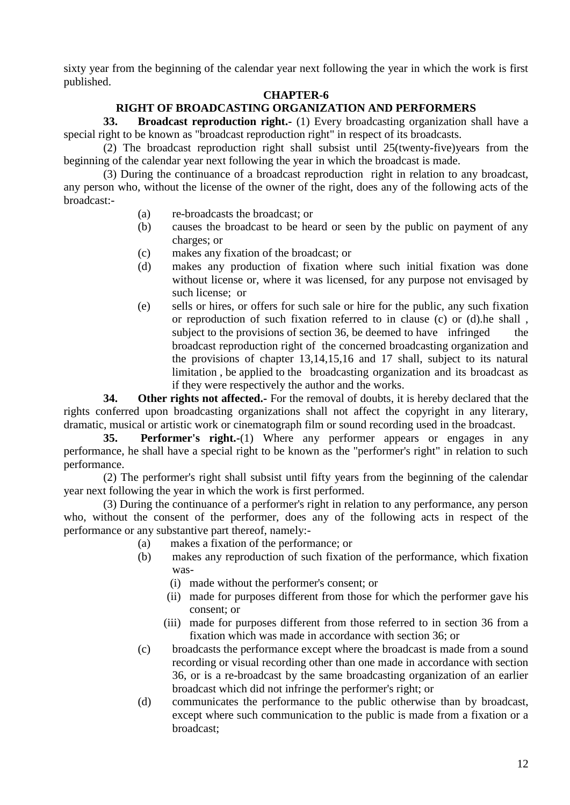sixty year from the beginning of the calendar year next following the year in which the work is first published.

## **CHAPTER-6**

## **RIGHT OF BROADCASTING ORGANIZATION AND PERFORMERS**

**33. Broadcast reproduction right.-** (1) Every broadcasting organization shall have a special right to be known as "broadcast reproduction right" in respect of its broadcasts.

(2) The broadcast reproduction right shall subsist until 25(twenty-five)years from the beginning of the calendar year next following the year in which the broadcast is made.

(3) During the continuance of a broadcast reproduction right in relation to any broadcast, any person who, without the license of the owner of the right, does any of the following acts of the broadcast:-

- (a) re-broadcasts the broadcast; or
- (b) causes the broadcast to be heard or seen by the public on payment of any charges; or
- (c) makes any fixation of the broadcast; or
- (d) makes any production of fixation where such initial fixation was done without license or, where it was licensed, for any purpose not envisaged by such license; or
- (e) sells or hires, or offers for such sale or hire for the public, any such fixation or reproduction of such fixation referred to in clause (c) or (d).he shall , subject to the provisions of section 36, be deemed to have infringed the broadcast reproduction right of the concerned broadcasting organization and the provisions of chapter 13,14,15,16 and 17 shall, subject to its natural limitation , be applied to the broadcasting organization and its broadcast as if they were respectively the author and the works.

**34. Other rights not affected.-** For the removal of doubts, it is hereby declared that the rights conferred upon broadcasting organizations shall not affect the copyright in any literary, dramatic, musical or artistic work or cinematograph film or sound recording used in the broadcast.

**35. Performer's right.-**(1) Where any performer appears or engages in any performance, he shall have a special right to be known as the "performer's right" in relation to such performance.

(2) The performer's right shall subsist until fifty years from the beginning of the calendar year next following the year in which the work is first performed.

(3) During the continuance of a performer's right in relation to any performance, any person who, without the consent of the performer, does any of the following acts in respect of the performance or any substantive part thereof, namely:-

- (a) makes a fixation of the performance; or
- (b) makes any reproduction of such fixation of the performance, which fixation was-
	- (i) made without the performer's consent; or
	- (ii) made for purposes different from those for which the performer gave his consent; or
	- (iii) made for purposes different from those referred to in section 36 from a fixation which was made in accordance with section 36; or
- (c) broadcasts the performance except where the broadcast is made from a sound recording or visual recording other than one made in accordance with section 36, or is a re-broadcast by the same broadcasting organization of an earlier broadcast which did not infringe the performer's right; or
- (d) communicates the performance to the public otherwise than by broadcast, except where such communication to the public is made from a fixation or a broadcast;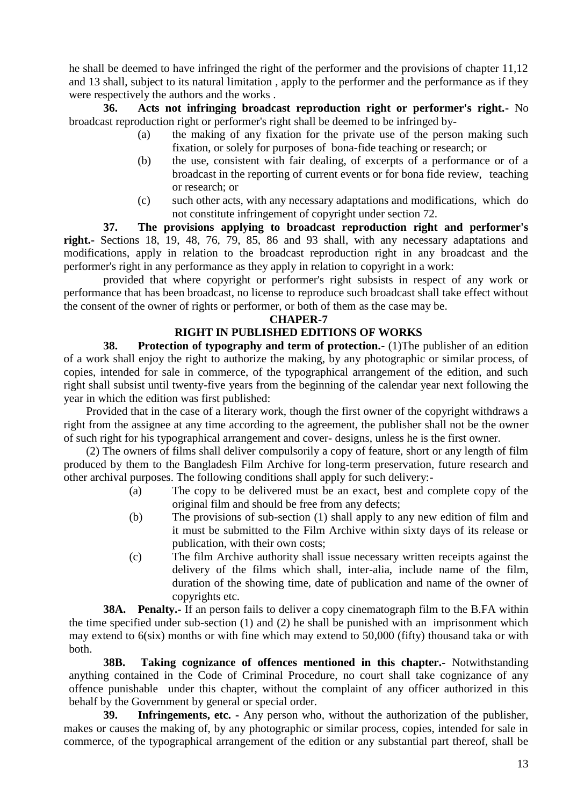he shall be deemed to have infringed the right of the performer and the provisions of chapter 11,12 and 13 shall, subject to its natural limitation , apply to the performer and the performance as if they were respectively the authors and the works .

**36. Acts not infringing broadcast reproduction right or performer's right.-** No broadcast reproduction right or performer's right shall be deemed to be infringed by-

- (a) the making of any fixation for the private use of the person making such fixation, or solely for purposes of bona-fide teaching or research; or
- (b) the use, consistent with fair dealing, of excerpts of a performance or of a broadcast in the reporting of current events or for bona fide review, teaching or research; or
- (c) such other acts, with any necessary adaptations and modifications, which do not constitute infringement of copyright under section 72*.*

**37. The provisions applying to broadcast reproduction right and performer's right.-** Sections 18, 19, 48, 76, 79, 85, 86 and 93 shall, with any necessary adaptations and modifications, apply in relation to the broadcast reproduction right in any broadcast and the performer's right in any performance as they apply in relation to copyright in a work:

provided that where copyright or performer's right subsists in respect of any work or performance that has been broadcast, no license to reproduce such broadcast shall take effect without the consent of the owner of rights or performer, or both of them as the case may be.

#### **CHAPER-7**

## **RIGHT IN PUBLISHED EDITIONS OF WORKS**

**38. Protection of typography and term of protection.** (1) The publisher of an edition of a work shall enjoy the right to authorize the making, by any photographic or similar process, of copies, intended for sale in commerce, of the typographical arrangement of the edition, and such right shall subsist until twenty-five years from the beginning of the calendar year next following the year in which the edition was first published:

Provided that in the case of a literary work, though the first owner of the copyright withdraws a right from the assignee at any time according to the agreement, the publisher shall not be the owner of such right for his typographical arrangement and cover- designs, unless he is the first owner.

(2) The owners of films shall deliver compulsorily a copy of feature, short or any length of film produced by them to the Bangladesh Film Archive for long-term preservation, future research and other archival purposes. The following conditions shall apply for such delivery:-

- (a) The copy to be delivered must be an exact, best and complete copy of the original film and should be free from any defects;
- (b) The provisions of sub-section (1) shall apply to any new edition of film and it must be submitted to the Film Archive within sixty days of its release or publication, with their own costs;
- (c) The film Archive authority shall issue necessary written receipts against the delivery of the films which shall, inter-alia, include name of the film, duration of the showing time, date of publication and name of the owner of copyrights etc.

**38A. Penalty.-** If an person fails to deliver a copy cinematograph film to the B.FA within the time specified under sub-section (1) and (2) he shall be punished with an imprisonment which may extend to 6(six) months or with fine which may extend to 50,000 (fifty) thousand taka or with both.

**38B. Taking cognizance of offences mentioned in this chapter.-** Notwithstanding anything contained in the Code of Criminal Procedure, no court shall take cognizance of any offence punishable under this chapter, without the complaint of any officer authorized in this behalf by the Government by general or special order.

**39. Infringements, etc. -** Any person who, without the authorization of the publisher, makes or causes the making of, by any photographic or similar process, copies, intended for sale in commerce, of the typographical arrangement of the edition or any substantial part thereof, shall be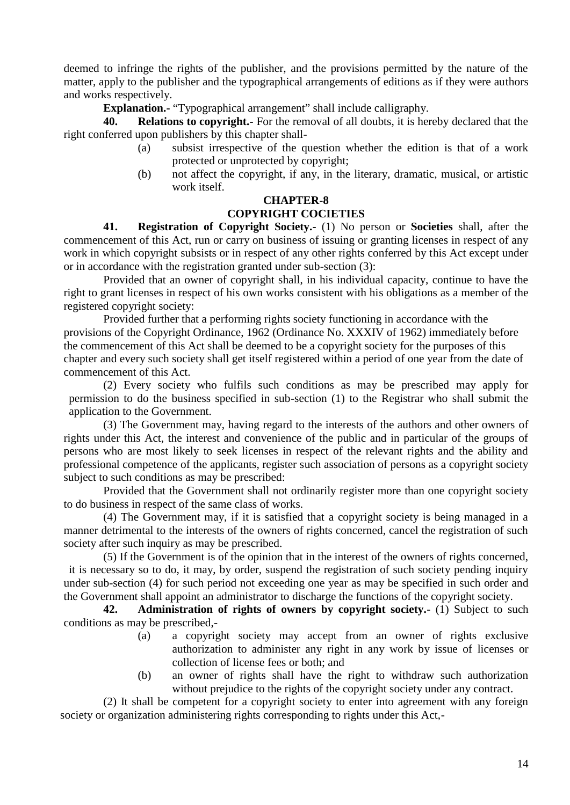deemed to infringe the rights of the publisher, and the provisions permitted by the nature of the matter, apply to the publisher and the typographical arrangements of editions as if they were authors and works respectively.

**Explanation.-** "Typographical arrangement" shall include calligraphy.

**Relations to copyright.-** For the removal of all doubts, it is hereby declared that the right conferred upon publishers by this chapter shall-

- (a) subsist irrespective of the question whether the edition is that of a work protected or unprotected by copyright;
- (b) not affect the copyright, if any, in the literary, dramatic, musical, or artistic work itself.

## **CHAPTER-8**

## **COPYRIGHT COCIETIES**

**41. Registration of Copyright Society.-** (1) No person or **Societies** shall, after the commencement of this Act, run or carry on business of issuing or granting licenses in respect of any work in which copyright subsists or in respect of any other rights conferred by this Act except under or in accordance with the registration granted under sub-section (3):

Provided that an owner of copyright shall, in his individual capacity, continue to have the right to grant licenses in respect of his own works consistent with his obligations as a member of the registered copyright society:

Provided further that a performing rights society functioning in accordance with the provisions of the Copyright Ordinance, 1962 (Ordinance No. XXXIV of 1962) immediately before the commencement of this Act shall be deemed to be a copyright society for the purposes of this chapter and every such society shall get itself registered within a period of one year from the date of commencement of this Act.

(2) Every society who fulfils such conditions as may be prescribed may apply for permission to do the business specified in sub-section (1) to the Registrar who shall submit the application to the Government.

(3) The Government may, having regard to the interests of the authors and other owners of rights under this Act, the interest and convenience of the public and in particular of the groups of persons who are most likely to seek licenses in respect of the relevant rights and the ability and professional competence of the applicants, register such association of persons as a copyright society subject to such conditions as may be prescribed:

Provided that the Government shall not ordinarily register more than one copyright society to do business in respect of the same class of works.

(4) The Government may, if it is satisfied that a copyright society is being managed in a manner detrimental to the interests of the owners of rights concerned, cancel the registration of such society after such inquiry as may be prescribed.

(5) If the Government is of the opinion that in the interest of the owners of rights concerned, it is necessary so to do, it may, by order, suspend the registration of such society pending inquiry under sub-section (4) for such period not exceeding one year as may be specified in such order and the Government shall appoint an administrator to discharge the functions of the copyright society.

**42. Administration of rights of owners by copyright society.**- (1) Subject to such conditions as may be prescribed,-

- (a) a copyright society may accept from an owner of rights exclusive authorization to administer any right in any work by issue of licenses or collection of license fees or both; and
- (b) an owner of rights shall have the right to withdraw such authorization without prejudice to the rights of the copyright society under any contract.

(2) It shall be competent for a copyright society to enter into agreement with any foreign society or organization administering rights corresponding to rights under this Act,-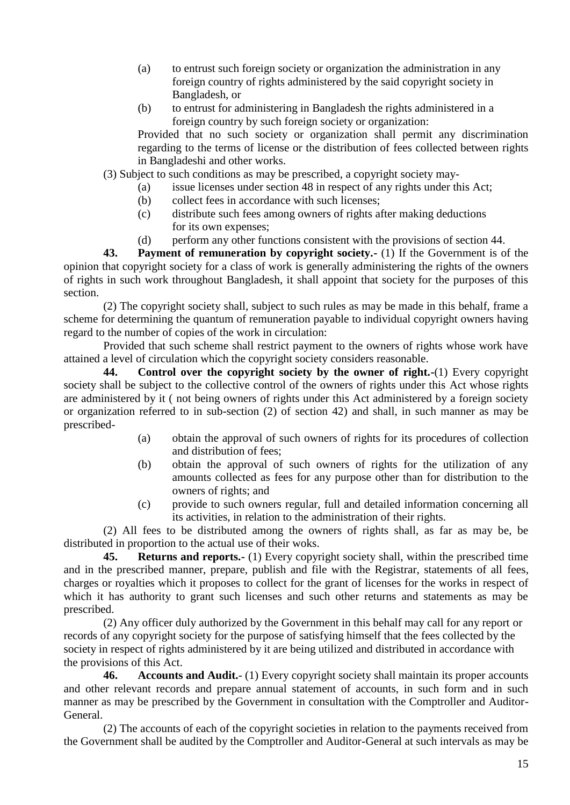- (a) to entrust such foreign society or organization the administration in any foreign country of rights administered by the said copyright society in Bangladesh, or
- (b) to entrust for administering in Bangladesh the rights administered in a foreign country by such foreign society or organization:

Provided that no such society or organization shall permit any discrimination regarding to the terms of license or the distribution of fees collected between rights in Bangladeshi and other works.

(3) Subject to such conditions as may be prescribed, a copyright society may-

- (a) issue licenses under section 48 in respect of any rights under this Act;
- (b) collect fees in accordance with such licenses;
- (c) distribute such fees among owners of rights after making deductions for its own expenses;
- (d) perform any other functions consistent with the provisions of section 44.

**43. Payment of remuneration by copyright society.-** (1) If the Government is of the opinion that copyright society for a class of work is generally administering the rights of the owners of rights in such work throughout Bangladesh, it shall appoint that society for the purposes of this section.

(2) The copyright society shall, subject to such rules as may be made in this behalf, frame a scheme for determining the quantum of remuneration payable to individual copyright owners having regard to the number of copies of the work in circulation:

Provided that such scheme shall restrict payment to the owners of rights whose work have attained a level of circulation which the copyright society considers reasonable.

**44. Control over the copyright society by the owner of right.-**(1) Every copyright society shall be subject to the collective control of the owners of rights under this Act whose rights are administered by it ( not being owners of rights under this Act administered by a foreign society or organization referred to in sub-section (2) of section 42) and shall, in such manner as may be prescribed-

- (a) obtain the approval of such owners of rights for its procedures of collection and distribution of fees;
- (b) obtain the approval of such owners of rights for the utilization of any amounts collected as fees for any purpose other than for distribution to the owners of rights; and
- (c) provide to such owners regular, full and detailed information concerning all its activities, in relation to the administration of their rights.

(2) All fees to be distributed among the owners of rights shall, as far as may be, be distributed in proportion to the actual use of their woks.

**45. Returns and reports.-** (1) Every copyright society shall, within the prescribed time and in the prescribed manner, prepare, publish and file with the Registrar, statements of all fees, charges or royalties which it proposes to collect for the grant of licenses for the works in respect of which it has authority to grant such licenses and such other returns and statements as may be prescribed.

(2) Any officer duly authorized by the Government in this behalf may call for any report or records of any copyright society for the purpose of satisfying himself that the fees collected by the society in respect of rights administered by it are being utilized and distributed in accordance with the provisions of this Act.

**46. Accounts and Audit.**- (1) Every copyright society shall maintain its proper accounts and other relevant records and prepare annual statement of accounts, in such form and in such manner as may be prescribed by the Government in consultation with the Comptroller and Auditor- General.

(2) The accounts of each of the copyright societies in relation to the payments received from the Government shall be audited by the Comptroller and Auditor-General at such intervals as may be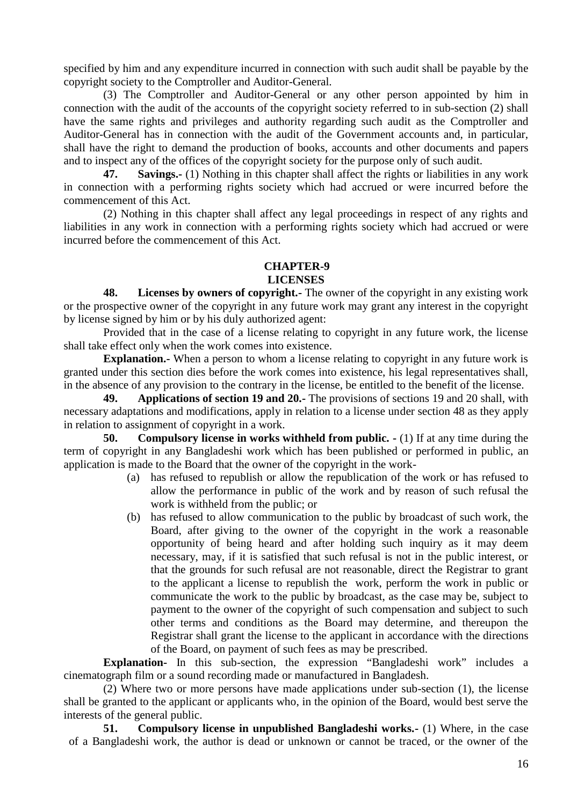specified by him and any expenditure incurred in connection with such audit shall be payable by the copyright society to the Comptroller and Auditor-General.

(3) The Comptroller and Auditor-General or any other person appointed by him in connection with the audit of the accounts of the copyright society referred to in sub-section (2) shall have the same rights and privileges and authority regarding such audit as the Comptroller and Auditor-General has in connection with the audit of the Government accounts and, in particular, shall have the right to demand the production of books, accounts and other documents and papers and to inspect any of the offices of the copyright society for the purpose only of such audit.

**47. Savings.-** (1) Nothing in this chapter shall affect the rights or liabilities in any work in connection with a performing rights society which had accrued or were incurred before the commencement of this Act.

(2) Nothing in this chapter shall affect any legal proceedings in respect of any rights and liabilities in any work in connection with a performing rights society which had accrued or were incurred before the commencement of this Act.

#### **CHAPTER-9**

#### **LICENSES**

**48. Licenses by owners of copyright.-** The owner of the copyright in any existing work or the prospective owner of the copyright in any future work may grant any interest in the copyright by license signed by him or by his duly authorized agent:

Provided that in the case of a license relating to copyright in any future work, the license shall take effect only when the work comes into existence.

**Explanation.-** When a person to whom a license relating to copyright in any future work is granted under this section dies before the work comes into existence, his legal representatives shall, in the absence of any provision to the contrary in the license, be entitled to the benefit of the license.

**49. Applications of section 19 and 20.-** The provisions of sections 19 and 20 shall, with necessary adaptations and modifications, apply in relation to a license under section 48 as they apply in relation to assignment of copyright in a work.

**50. Compulsory license in works withheld from public. -** (1) If at any time during the term of copyright in any Bangladeshi work which has been published or performed in public, an application is made to the Board that the owner of the copyright in the work-

- (a) has refused to republish or allow the republication of the work or has refused to allow the performance in public of the work and by reason of such refusal the work is withheld from the public; or
- (b) has refused to allow communication to the public by broadcast of such work, the Board, after giving to the owner of the copyright in the work a reasonable opportunity of being heard and after holding such inquiry as it may deem necessary, may, if it is satisfied that such refusal is not in the public interest, or that the grounds for such refusal are not reasonable, direct the Registrar to grant to the applicant a license to republish the work, perform the work in public or communicate the work to the public by broadcast, as the case may be, subject to payment to the owner of the copyright of such compensation and subject to such other terms and conditions as the Board may determine, and thereupon the Registrar shall grant the license to the applicant in accordance with the directions of the Board, on payment of such fees as may be prescribed.

**Explanation-** In this sub-section, the expression "Bangladeshi work" includes a cinematograph film or a sound recording made or manufactured in Bangladesh.

(2) Where two or more persons have made applications under sub-section (1), the license shall be granted to the applicant or applicants who, in the opinion of the Board, would best serve the interests of the general public.

**51. Compulsory license in unpublished Bangladeshi works.-** (1) Where, in the case of a Bangladeshi work, the author is dead or unknown or cannot be traced, or the owner of the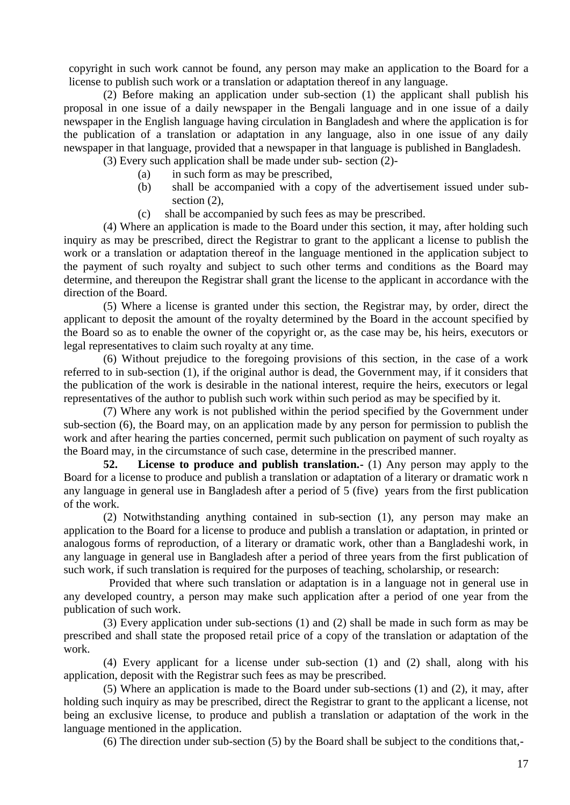copyright in such work cannot be found, any person may make an application to the Board for a license to publish such work or a translation or adaptation thereof in any language.

(2) Before making an application under sub-section (1) the applicant shall publish his proposal in one issue of a daily newspaper in the Bengali language and in one issue of a daily newspaper in the English language having circulation in Bangladesh and where the application is for the publication of a translation or adaptation in any language, also in one issue of any daily newspaper in that language, provided that a newspaper in that language is published in Bangladesh.

(3) Every such application shall be made under sub- section (2)-

- (a) in such form as may be prescribed,
- (b) shall be accompanied with a copy of the advertisement issued under sub section  $(2)$ ,
- (c) shall be accompanied by such fees as may be prescribed.

(4) Where an application is made to the Board under this section, it may, after holding such inquiry as may be prescribed, direct the Registrar to grant to the applicant a license to publish the work or a translation or adaptation thereof in the language mentioned in the application subject to the payment of such royalty and subject to such other terms and conditions as the Board may determine, and thereupon the Registrar shall grant the license to the applicant in accordance with the direction of the Board.

(5) Where a license is granted under this section, the Registrar may, by order, direct the applicant to deposit the amount of the royalty determined by the Board in the account specified by the Board so as to enable the owner of the copyright or, as the case may be, his heirs, executors or legal representatives to claim such royalty at any time.

(6) Without prejudice to the foregoing provisions of this section, in the case of a work referred to in sub-section (1), if the original author is dead, the Government may, if it considers that the publication of the work is desirable in the national interest, require the heirs, executors or legal representatives of the author to publish such work within such period as may be specified by it.

(7) Where any work is not published within the period specified by the Government under sub-section (6), the Board may, on an application made by any person for permission to publish the work and after hearing the parties concerned, permit such publication on payment of such royalty as the Board may, in the circumstance of such case, determine in the prescribed manner.

**52. License to produce and publish translation.-** (1) Any person may apply to the Board for a license to produce and publish a translation or adaptation of a literary or dramatic work n any language in general use in Bangladesh after a period of 5 (five) years from the first publication of the work.

(2) Notwithstanding anything contained in sub-section (1), any person may make an application to the Board for a license to produce and publish a translation or adaptation, in printed or analogous forms of reproduction, of a literary or dramatic work, other than a Bangladeshi work, in any language in general use in Bangladesh after a period of three years from the first publication of such work, if such translation is required for the purposes of teaching, scholarship, or research:

Provided that where such translation or adaptation is in a language not in general use in any developed country, a person may make such application after a period of one year from the publication of such work.

(3) Every application under sub-sections (1) and (2) shall be made in such form as may be prescribed and shall state the proposed retail price of a copy of the translation or adaptation of the work.

(4) Every applicant for a license under sub-section (1) and (2) shall, along with his application, deposit with the Registrar such fees as may be prescribed.

(5) Where an application is made to the Board under sub-sections (1) and (2), it may, after holding such inquiry as may be prescribed, direct the Registrar to grant to the applicant a license, not being an exclusive license, to produce and publish a translation or adaptation of the work in the language mentioned in the application.

(6) The direction under sub-section (5) by the Board shall be subject to the conditions that,-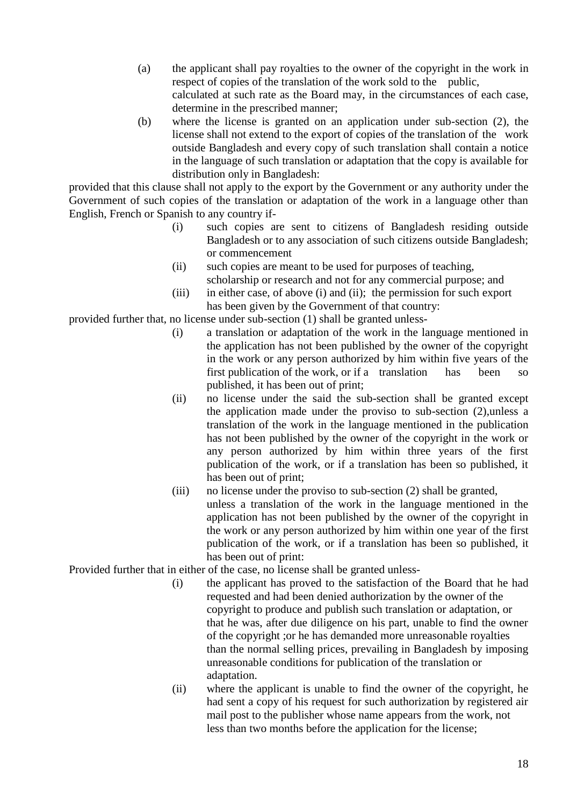- (a) the applicant shall pay royalties to the owner of the copyright in the work in respect of copies of the translation of the work sold to the public, calculated at such rate as the Board may, in the circumstances of each case, determine in the prescribed manner;
- (b) where the license is granted on an application under sub-section (2), the license shall not extend to the export of copies of the translation of the work outside Bangladesh and every copy of such translation shall contain a notice in the language of such translation or adaptation that the copy is available for distribution only in Bangladesh:

provided that this clause shall not apply to the export by the Government or any authority under the Government of such copies of the translation or adaptation of the work in a language other than English, French or Spanish to any country if-

- (i) such copies are sent to citizens of Bangladesh residing outside Bangladesh or to any association of such citizens outside Bangladesh; or commencement
- (ii) such copies are meant to be used for purposes of teaching, scholarship or research and not for any commercial purpose; and
- (iii) in either case, of above (i) and (ii); the permission for such export has been given by the Government of that country:

provided further that, no license under sub-section (1) shall be granted unless-

- (i) a translation or adaptation of the work in the language mentioned in the application has not been published by the owner of the copyright in the work or any person authorized by him within five years of the first publication of the work, or if a translation has been so published, it has been out of print;
- (ii) no license under the said the sub-section shall be granted except the application made under the proviso to sub-section (2),unless a translation of the work in the language mentioned in the publication has not been published by the owner of the copyright in the work or any person authorized by him within three years of the first publication of the work, or if a translation has been so published, it has been out of print;
- (iii) no license under the proviso to sub-section (2) shall be granted, unless a translation of the work in the language mentioned in the application has not been published by the owner of the copyright in the work or any person authorized by him within one year of the first publication of the work, or if a translation has been so published, it has been out of print:

Provided further that in either of the case, no license shall be granted unless-

- (i) the applicant has proved to the satisfaction of the Board that he had requested and had been denied authorization by the owner of the copyright to produce and publish such translation or adaptation, or that he was, after due diligence on his part, unable to find the owner of the copyright ;or he has demanded more unreasonable royalties than the normal selling prices, prevailing in Bangladesh by imposing unreasonable conditions for publication of the translation or adaptation.
- (ii) where the applicant is unable to find the owner of the copyright, he had sent a copy of his request for such authorization by registered air mail post to the publisher whose name appears from the work, not less than two months before the application for the license;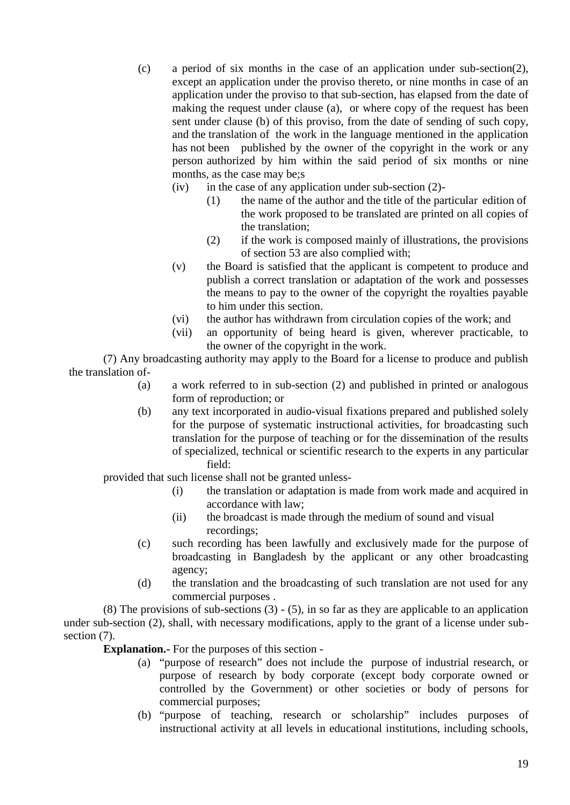- (c) a period of six months in the case of an application under sub-section(2), except an application under the proviso thereto, or nine months in case of an application under the proviso to that sub-section, has elapsed from the date of making the request under clause (a), or where copy of the request has been sent under clause (b) of this proviso, from the date of sending of such copy, and the translation of the work in the language mentioned in the application has not been published by the owner of the copyright in the work or any person authorized by him within the said period of six months or nine months, as the case may be;s
	- $(iv)$  in the case of any application under sub-section  $(2)$ -
		- (1) the name of the author and the title of the particular edition of the work proposed to be translated are printed on all copies of the translation;
		- (2) if the work is composed mainly of illustrations, the provisions of section 53 are also complied with;
	- (v) the Board is satisfied that the applicant is competent to produce and publish a correct translation or adaptation of the work and possesses the means to pay to the owner of the copyright the royalties payable to him under this section.
	- (vi) the author has withdrawn from circulation copies of the work; and
	- (vii) an opportunity of being heard is given, wherever practicable, to the owner of the copyright in the work.

(7) Any broadcasting authority may apply to the Board for a license to produce and publish the translation of-

- (a) a work referred to in sub-section (2) and published in printed or analogous form of reproduction; or
- (b) any text incorporated in audio-visual fixations prepared and published solely for the purpose of systematic instructional activities, for broadcasting such translation for the purpose of teaching or for the dissemination of the results of specialized, technical or scientific research to the experts in any particular field:

provided that such license shall not be granted unless-

- (i) the translation or adaptation is made from work made and acquired in accordance with law;
- (ii) the broadcast is made through the medium of sound and visual recordings;
- (c) such recording has been lawfully and exclusively made for the purpose of broadcasting in Bangladesh by the applicant or any other broadcasting agency;
- (d) the translation and the broadcasting of such translation are not used for any commercial purposes .

(8) The provisions of sub-sections (3) - (5), in so far as they are applicable to an application under sub-section (2), shall, with necessary modifications, apply to the grant of a license under sub section  $(7)$ .

**Explanation.-** For the purposes of this section -

- (a) "purpose of research" does not include the purpose of industrial research, or purpose of research by body corporate (except body corporate owned or controlled by the Government) or other societies or body of persons for commercial purposes;
- (b) "purpose of teaching, research or scholarship" includes purposes of instructional activity at all levels in educational institutions, including schools,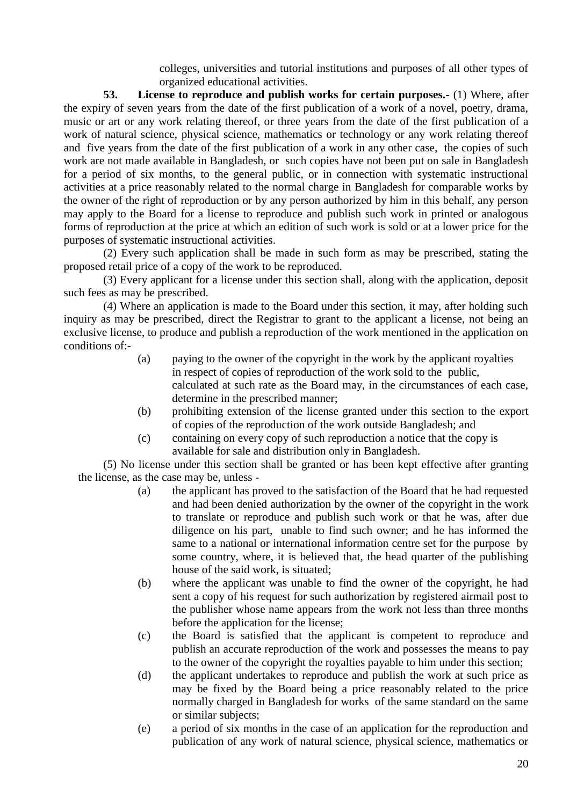colleges, universities and tutorial institutions and purposes of all other types of organized educational activities.

**53. License to reproduce and publish works for certain purposes.-** (1) Where, after the expiry of seven years from the date of the first publication of a work of a novel, poetry, drama, music or art or any work relating thereof, or three years from the date of the first publication of a work of natural science, physical science, mathematics or technology or any work relating thereof and five years from the date of the first publication of a work in any other case, the copies of such work are not made available in Bangladesh, or such copies have not been put on sale in Bangladesh for a period of six months, to the general public, or in connection with systematic instructional activities at a price reasonably related to the normal charge in Bangladesh for comparable works by the owner of the right of reproduction or by any person authorized by him in this behalf, any person may apply to the Board for a license to reproduce and publish such work in printed or analogous forms of reproduction at the price at which an edition of such work is sold or at a lower price for the purposes of systematic instructional activities.

(2) Every such application shall be made in such form as may be prescribed, stating the proposed retail price of a copy of the work to be reproduced.

(3) Every applicant for a license under this section shall, along with the application, deposit such fees as may be prescribed.

(4) Where an application is made to the Board under this section, it may, after holding such inquiry as may be prescribed, direct the Registrar to grant to the applicant a license, not being an exclusive license, to produce and publish a reproduction of the work mentioned in the application on conditions of:-

- (a) paying to the owner of the copyright in the work by the applicant royalties in respect of copies of reproduction of the work sold to the public, calculated at such rate as the Board may, in the circumstances of each case, determine in the prescribed manner;
- (b) prohibiting extension of the license granted under this section to the export of copies of the reproduction of the work outside Bangladesh; and
- (c) containing on every copy of such reproduction a notice that the copy is available for sale and distribution only in Bangladesh.

(5) No license under this section shall be granted or has been kept effective after granting the license, as the case may be, unless -

- (a) the applicant has proved to the satisfaction of the Board that he had requested and had been denied authorization by the owner of the copyright in the work to translate or reproduce and publish such work or that he was, after due diligence on his part, unable to find such owner; and he has informed the same to a national or international information centre set for the purpose by some country, where, it is believed that, the head quarter of the publishing house of the said work, is situated;
- (b) where the applicant was unable to find the owner of the copyright, he had sent a copy of his request for such authorization by registered airmail post to the publisher whose name appears from the work not less than three months before the application for the license;
- (c) the Board is satisfied that the applicant is competent to reproduce and publish an accurate reproduction of the work and possesses the means to pay to the owner of the copyright the royalties payable to him under this section;
- (d) the applicant undertakes to reproduce and publish the work at such price as may be fixed by the Board being a price reasonably related to the price normally charged in Bangladesh for works of the same standard on the same or similar subjects;
- (e) a period of six months in the case of an application for the reproduction and publication of any work of natural science, physical science, mathematics or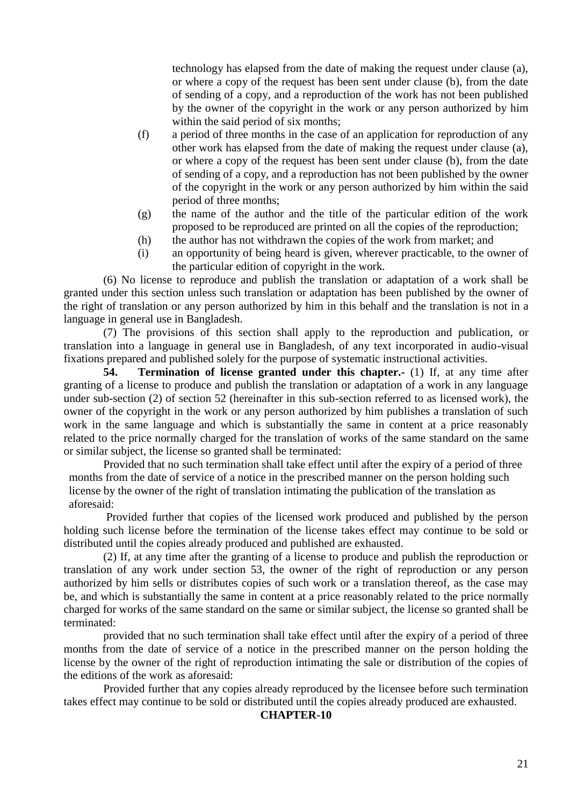technology has elapsed from the date of making the request under clause (a), or where a copy of the request has been sent under clause (b), from the date of sending of a copy, and a reproduction of the work has not been published by the owner of the copyright in the work or any person authorized by him within the said period of six months:

- (f) a period of three months in the case of an application for reproduction of any other work has elapsed from the date of making the request under clause (a), or where a copy of the request has been sent under clause (b), from the date of sending of a copy, and a reproduction has not been published by the owner of the copyright in the work or any person authorized by him within the said period of three months;
- (g) the name of the author and the title of the particular edition of the work proposed to be reproduced are printed on all the copies of the reproduction;
- (h) the author has not withdrawn the copies of the work from market; and
- (i) an opportunity of being heard is given, wherever practicable, to the owner of the particular edition of copyright in the work.

(6) No license to reproduce and publish the translation or adaptation of a work shall be granted under this section unless such translation or adaptation has been published by the owner of the right of translation or any person authorized by him in this behalf and the translation is not in a language in general use in Bangladesh.

(7) The provisions of this section shall apply to the reproduction and publication, or translation into a language in general use in Bangladesh, of any text incorporated in audio-visual fixations prepared and published solely for the purpose of systematic instructional activities.

**54. Termination of license granted under this chapter.-** (1) If, at any time after granting of a license to produce and publish the translation or adaptation of a work in any language under sub-section (2) of section 52 (hereinafter in this sub-section referred to as licensed work), the owner of the copyright in the work or any person authorized by him publishes a translation of such work in the same language and which is substantially the same in content at a price reasonably related to the price normally charged for the translation of works of the same standard on the same or similar subject, the license so granted shall be terminated:

Provided that no such termination shall take effect until after the expiry of a period of three months from the date of service of a notice in the prescribed manner on the person holding such license by the owner of the right of translation intimating the publication of the translation as aforesaid:

Provided further that copies of the licensed work produced and published by the person holding such license before the termination of the license takes effect may continue to be sold or distributed until the copies already produced and published are exhausted.

(2) If, at any time after the granting of a license to produce and publish the reproduction or translation of any work under section 53, the owner of the right of reproduction or any person authorized by him sells or distributes copies of such work or a translation thereof, as the case may be, and which is substantially the same in content at a price reasonably related to the price normally charged for works of the same standard on the same or similar subject, the license so granted shall be terminated:

provided that no such termination shall take effect until after the expiry of a period of three months from the date of service of a notice in the prescribed manner on the person holding the license by the owner of the right of reproduction intimating the sale or distribution of the copies of the editions of the work as aforesaid:

Provided further that any copies already reproduced by the licensee before such termination takes effect may continue to be sold or distributed until the copies already produced are exhausted.

#### **CHAPTER-10**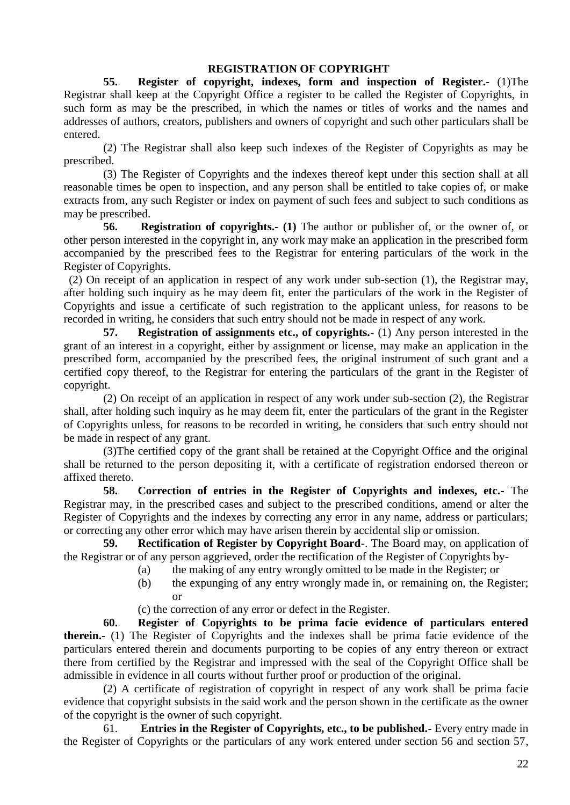## **REGISTRATION OF COPYRIGHT**

**55. Register of copyright, indexes, form and inspection of Register.-** (1)The Registrar shall keep at the Copyright Office a register to be called the Register of Copyrights, in such form as may be the prescribed, in which the names or titles of works and the names and addresses of authors, creators, publishers and owners of copyright and such other particulars shall be entered.

(2) The Registrar shall also keep such indexes of the Register of Copyrights as may be prescribed.

(3) The Register of Copyrights and the indexes thereof kept under this section shall at all reasonable times be open to inspection, and any person shall be entitled to take copies of, or make extracts from, any such Register or index on payment of such fees and subject to such conditions as may be prescribed.

**56. Registration of copyrights.- (1)** The author or publisher of, or the owner of, or other person interested in the copyright in, any work may make an application in the prescribed form accompanied by the prescribed fees to the Registrar for entering particulars of the work in the Register of Copyrights.

(2) On receipt of an application in respect of any work under sub-section (1), the Registrar may, after holding such inquiry as he may deem fit, enter the particulars of the work in the Register of Copyrights and issue a certificate of such registration to the applicant unless, for reasons to be recorded in writing, he considers that such entry should not be made in respect of any work.

**57. Registration of assignments etc., of copyrights.-** (1) Any person interested in the grant of an interest in a copyright, either by assignment or license, may make an application in the prescribed form, accompanied by the prescribed fees, the original instrument of such grant and a certified copy thereof, to the Registrar for entering the particulars of the grant in the Register of copyright.

(2) On receipt of an application in respect of any work under sub-section (2), the Registrar shall, after holding such inquiry as he may deem fit, enter the particulars of the grant in the Register of Copyrights unless, for reasons to be recorded in writing, he considers that such entry should not be made in respect of any grant.

(3)The certified copy of the grant shall be retained at the Copyright Office and the original shall be returned to the person depositing it, with a certificate of registration endorsed thereon or affixed thereto.

**58. Correction of entries in the Register of Copyrights and indexes, etc.-** The Registrar may, in the prescribed cases and subject to the prescribed conditions, amend or alter the Register of Copyrights and the indexes by correcting any error in any name, address or particulars; or correcting any other error which may have arisen therein by accidental slip or omission.

**59. Rectification of Register by Copyright Board**-. The Board may, on application of the Registrar or of any person aggrieved, order the rectification of the Register of Copyrights by-

- (a) the making of any entry wrongly omitted to be made in the Register; or
- (b) the expunging of any entry wrongly made in, or remaining on, the Register; or
- (c) the correction of any error or defect in the Register.

**60. Register of Copyrights to be prima facie evidence of particulars entered therein.-** (1) The Register of Copyrights and the indexes shall be prima facie evidence of the particulars entered therein and documents purporting to be copies of any entry thereon or extract there from certified by the Registrar and impressed with the seal of the Copyright Office shall be admissible in evidence in all courts without further proof or production of the original.

(2) A certificate of registration of copyright in respect of any work shall be prima facie evidence that copyright subsists in the said work and the person shown in the certificate as the owner of the copyright is the owner of such copyright.

61. **Entries in the Register of Copyrights, etc., to be published.-** Every entry made in the Register of Copyrights or the particulars of any work entered under section 56 and section 57,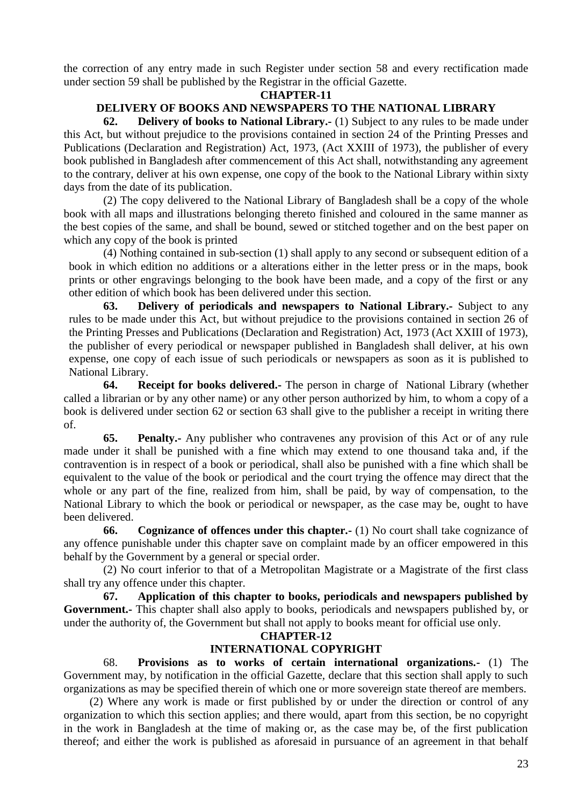the correction of any entry made in such Register under section 58 and every rectification made under section 59 shall be published by the Registrar in the official Gazette.

#### **CHAPTER-11**

## **DELIVERY OF BOOKS AND NEWSPAPERS TO THE NATIONAL LIBRARY**

**62. Delivery of books to National Library.-** (1) Subject to any rules to be made under this Act, but without prejudice to the provisions contained in section 24 of the Printing Presses and Publications (Declaration and Registration) Act, 1973, (Act XXIII of 1973), the publisher of every book published in Bangladesh after commencement of this Act shall, notwithstanding any agreement to the contrary, deliver at his own expense, one copy of the book to the National Library within sixty days from the date of its publication.

(2) The copy delivered to the National Library of Bangladesh shall be a copy of the whole book with all maps and illustrations belonging thereto finished and coloured in the same manner as the best copies of the same, and shall be bound, sewed or stitched together and on the best paper on which any copy of the book is printed

(4) Nothing contained in sub-section (1) shall apply to any second or subsequent edition of a book in which edition no additions or a alterations either in the letter press or in the maps, book prints or other engravings belonging to the book have been made, and a copy of the first or any other edition of which book has been delivered under this section.

**63. Delivery of periodicals and newspapers to National Library.-** Subject to any rules to be made under this Act, but without prejudice to the provisions contained in section 26 of the Printing Presses and Publications (Declaration and Registration) Act, 1973 (Act XXIII of 1973), the publisher of every periodical or newspaper published in Bangladesh shall deliver, at his own expense, one copy of each issue of such periodicals or newspapers as soon as it is published to National Library.

**64. Receipt for books delivered.-** The person in charge of National Library (whether called a librarian or by any other name) or any other person authorized by him, to whom a copy of a book is delivered under section 62 or section 63 shall give to the publisher a receipt in writing there of.

**65. Penalty.-** Any publisher who contravenes any provision of this Act or of any rule made under it shall be punished with a fine which may extend to one thousand taka and, if the contravention is in respect of a book or periodical, shall also be punished with a fine which shall be equivalent to the value of the book or periodical and the court trying the offence may direct that the whole or any part of the fine, realized from him, shall be paid, by way of compensation, to the National Library to which the book or periodical or newspaper, as the case may be, ought to have been delivered.

**66. Cognizance of offences under this chapter.-** (1) No court shall take cognizance of any offence punishable under this chapter save on complaint made by an officer empowered in this behalf by the Government by a general or special order.

(2) No court inferior to that of a Metropolitan Magistrate or a Magistrate of the first class shall try any offence under this chapter.

**67. Application of this chapter to books, periodicals and newspapers published by Government.-** This chapter shall also apply to books, periodicals and newspapers published by, or under the authority of, the Government but shall not apply to books meant for official use only.

#### **CHAPTER-12**

## **INTERNATIONAL COPYRIGHT**

68. **Provisions as to works of certain international organizations.-** (1) The Government may, by notification in the official Gazette, declare that this section shall apply to such organizations as may be specified therein of which one or more sovereign state thereof are members.

(2) Where any work is made or first published by or under the direction or control of any organization to which this section applies; and there would, apart from this section, be no copyright in the work in Bangladesh at the time of making or, as the case may be, of the first publication thereof; and either the work is published as aforesaid in pursuance of an agreement in that behalf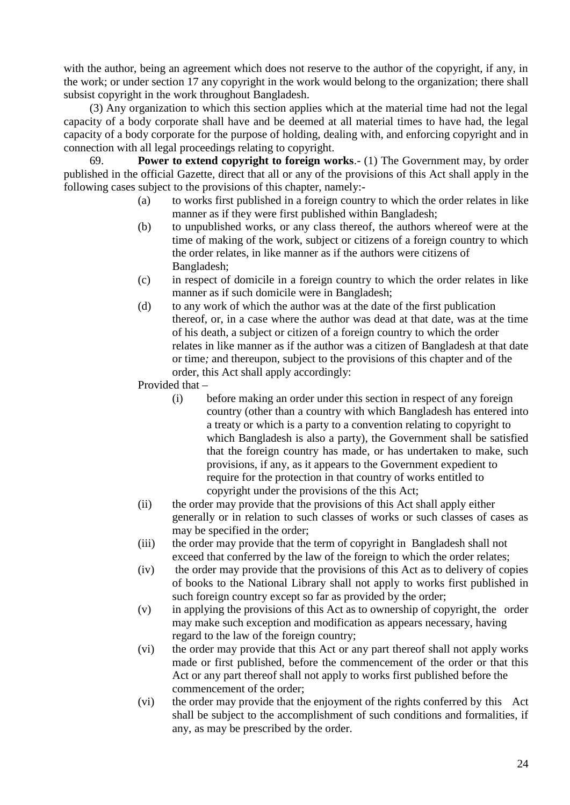with the author, being an agreement which does not reserve to the author of the copyright, if any, in the work; or under section 17 any copyright in the work would belong to the organization; there shall subsist copyright in the work throughout Bangladesh.

(3) Any organization to which this section applies which at the material time had not the legal capacity of a body corporate shall have and be deemed at all material times to have had, the legal capacity of a body corporate for the purpose of holding, dealing with, and enforcing copyright and in connection with all legal proceedings relating to copyright.

69. **Power to extend copyright to foreign works**.- (1) The Government may, by order published in the official Gazette, direct that all or any of the provisions of this Act shall apply in the following cases subject to the provisions of this chapter, namely:-

- (a) to works first published in a foreign country to which the order relates in like manner as if they were first published within Bangladesh;
- (b) to unpublished works, or any class thereof, the authors whereof were at the time of making of the work, subject or citizens of a foreign country to which the order relates, in like manner as if the authors were citizens of Bangladesh;
- (c) in respect of domicile in a foreign country to which the order relates in like manner as if such domicile were in Bangladesh;
- (d) to any work of which the author was at the date of the first publication thereof, or, in a case where the author was dead at that date, was at the time of his death, a subject or citizen of a foreign country to which the order relates in like manner as if the author was a citizen of Bangladesh at that date or time*;* and thereupon, subject to the provisions of this chapter and of the order, this Act shall apply accordingly:

Provided that –

- (i) before making an order under this section in respect of any foreign country (other than a country with which Bangladesh has entered into a treaty or which is a party to a convention relating to copyright to which Bangladesh is also a party), the Government shall be satisfied that the foreign country has made, or has undertaken to make, such provisions, if any, as it appears to the Government expedient to require for the protection in that country of works entitled to copyright under the provisions of the this Act;
- (ii) the order may provide that the provisions of this Act shall apply either generally or in relation to such classes of works or such classes of cases as may be specified in the order;
- (iii) the order may provide that the term of copyright in Bangladesh shall not exceed that conferred by the law of the foreign to which the order relates;
- (iv) the order may provide that the provisions of this Act as to delivery of copies of books to the National Library shall not apply to works first published in such foreign country except so far as provided by the order;
- (v) in applying the provisions of this Act as to ownership of copyright, the order may make such exception and modification as appears necessary, having regard to the law of the foreign country;
- (vi) the order may provide that this Act or any part thereof shall not apply works made or first published, before the commencement of the order or that this Act or any part thereof shall not apply to works first published before the commencement of the order;
- (vi) the order may provide that the enjoyment of the rights conferred by this Act shall be subject to the accomplishment of such conditions and formalities, if any, as may be prescribed by the order.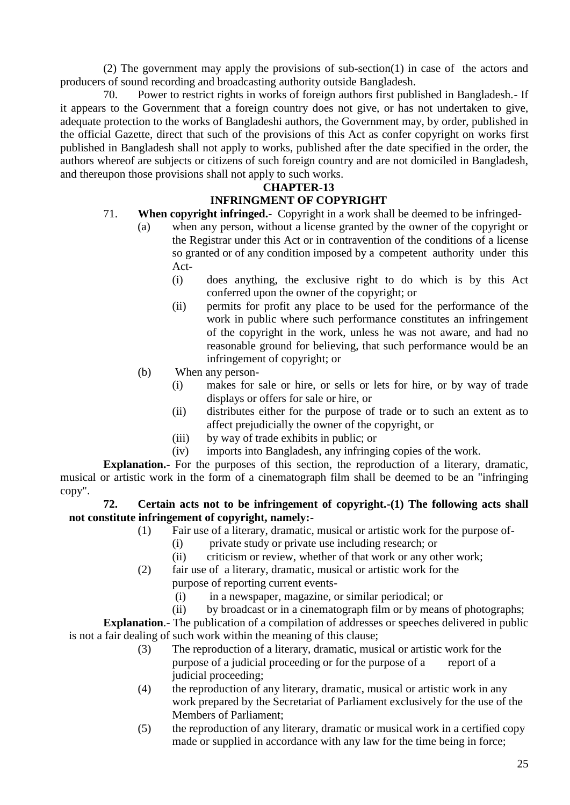(2) The government may apply the provisions of sub-section(1) in case of the actors and producers of sound recording and broadcasting authority outside Bangladesh.

70. Power to restrict rights in works of foreign authors first published in Bangladesh.- If it appears to the Government that a foreign country does not give, or has not undertaken to give, adequate protection to the works of Bangladeshi authors, the Government may, by order, published in the official Gazette, direct that such of the provisions of this Act as confer copyright on works first published in Bangladesh shall not apply to works, published after the date specified in the order, the authors whereof are subjects or citizens of such foreign country and are not domiciled in Bangladesh, and thereupon those provisions shall not apply to such works.

# **CHAPTER-13**

#### **INFRINGMENT OF COPYRIGHT** 71. **When copyright infringed.-** Copyright in a work shall be deemed to be infringed-

- (a) when any person, without a license granted by the owner of the copyright or the Registrar under this Act or in contravention of the conditions of a license so granted or of any condition imposed by a competent authority under this Act-
	- (i) does anything, the exclusive right to do which is by this Act conferred upon the owner of the copyright; or
	- (ii) permits for profit any place to be used for the performance of the work in public where such performance constitutes an infringement of the copyright in the work, unless he was not aware, and had no reasonable ground for believing, that such performance would be an infringement of copyright; or
- (b) When any person-
	- (i) makes for sale or hire, or sells or lets for hire, or by way of trade displays or offers for sale or hire, or
	- (ii) distributes either for the purpose of trade or to such an extent as to affect prejudicially the owner of the copyright, or
	- (iii) by way of trade exhibits in public; or
	- (iv) imports into Bangladesh, any infringing copies of the work.

**Explanation.-** For the purposes of this section, the reproduction of a literary, dramatic, musical or artistic work in the form of a cinematograph film shall be deemed to be an "infringing copy".

## **72. Certain acts not to be infringement of copyright.-(1) The following acts shall not constitute infringement of copyright, namely:-**

- (1) Fair use of a literary, dramatic, musical or artistic work for the purpose of-
	- (i) private study or private use including research; or
	- (ii) criticism or review, whether of that work or any other work;
- (2) fair use of a literary, dramatic, musical or artistic work for the purpose of reporting current events-
	- (i) in a newspaper, magazine, or similar periodical; or
	- (ii) by broadcast or in a cinematograph film or by means of photographs;

**Explanation.**- The publication of a compilation of addresses or speeches delivered in public is not a fair dealing of such work within the meaning of this clause;

- (3) The reproduction of a literary, dramatic, musical or artistic work for the purpose of a judicial proceeding or for the purpose of a report of a judicial proceeding:
- (4) the reproduction of any literary, dramatic, musical or artistic work in any work prepared by the Secretariat of Parliament exclusively for the use of the Members of Parliament;
- (5) the reproduction of any literary, dramatic or musical work in a certified copy made or supplied in accordance with any law for the time being in force;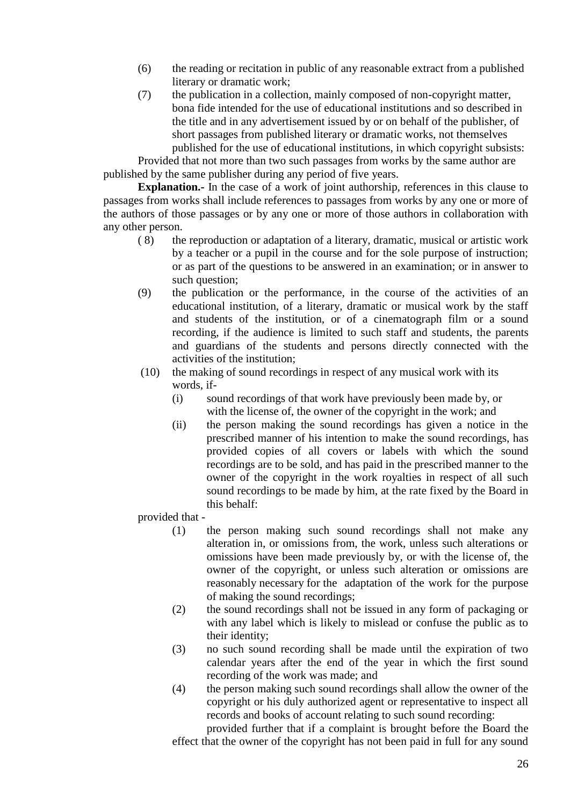- (6) the reading or recitation in public of any reasonable extract from a published literary or dramatic work;
- (7) the publication in a collection, mainly composed of non-copyright matter, bona fide intended for the use of educational institutions and so described in the title and in any advertisement issued by or on behalf of the publisher, of short passages from published literary or dramatic works, not themselves published for the use of educational institutions, in which copyright subsists:

Provided that not more than two such passages from works by the same author are published by the same publisher during any period of five years.

**Explanation.**- In the case of a work of joint authorship, references in this clause to passages from works shall include references to passages from works by any one or more of the authors of those passages or by any one or more of those authors in collaboration with any other person.

- ( 8) the reproduction or adaptation of a literary, dramatic, musical or artistic work by a teacher or a pupil in the course and for the sole purpose of instruction; or as part of the questions to be answered in an examination; or in answer to such question:
- (9) the publication or the performance, in the course of the activities of an educational institution, of a literary, dramatic or musical work by the staff and students of the institution, or of a cinematograph film or a sound recording, if the audience is limited to such staff and students, the parents and guardians of the students and persons directly connected with the activities of the institution;
- (10) the making of sound recordings in respect of any musical work with its words, if-
	- (i) sound recordings of that work have previously been made by, or with the license of, the owner of the copyright in the work; and
	- (ii) the person making the sound recordings has given a notice in the prescribed manner of his intention to make the sound recordings, has provided copies of all covers or labels with which the sound recordings are to be sold, and has paid in the prescribed manner to the owner of the copyright in the work royalties in respect of all such sound recordings to be made by him, at the rate fixed by the Board in this behalf:

provided that -

- (1) the person making such sound recordings shall not make any alteration in, or omissions from, the work, unless such alterations or omissions have been made previously by, or with the license of, the owner of the copyright, or unless such alteration or omissions are reasonably necessary for the adaptation of the work for the purpose of making the sound recordings;
- (2) the sound recordings shall not be issued in any form of packaging or with any label which is likely to mislead or confuse the public as to their identity;
- (3) no such sound recording shall be made until the expiration of two calendar years after the end of the year in which the first sound recording of the work was made; and
- (4) the person making such sound recordings shall allow the owner of the copyright or his duly authorized agent or representative to inspect all records and books of account relating to such sound recording: provided further that if a complaint is brought before the Board the

effect that the owner of the copyright has not been paid in full for any sound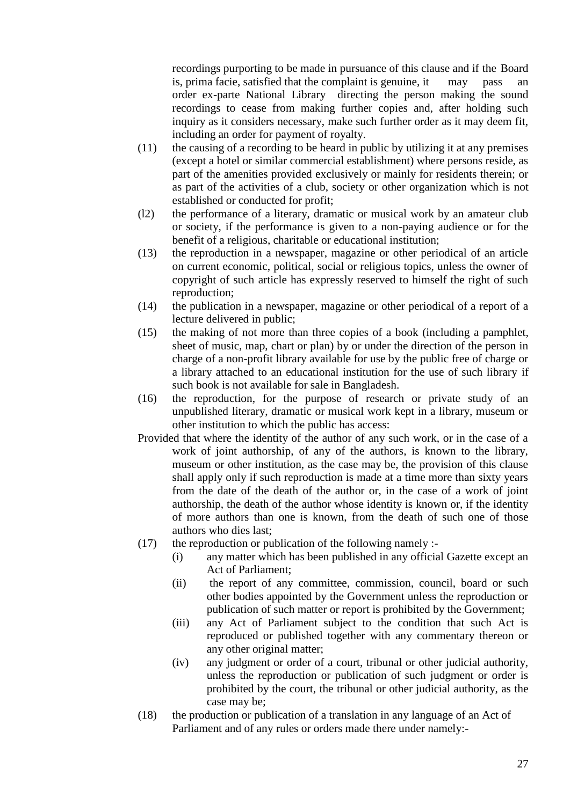recordings purporting to be made in pursuance of this clause and if the Board is, prima facie, satisfied that the complaint is genuine, it may pass order ex-parte National Library directing the person making the sound recordings to cease from making further copies and, after holding such inquiry as it considers necessary, make such further order as it may deem fit, including an order for payment of royalty.

- (11) the causing of a recording to be heard in public by utilizing it at any premises (except a hotel or similar commercial establishment) where persons reside, as part of the amenities provided exclusively or mainly for residents therein; or as part of the activities of a club, society or other organization which is not established or conducted for profit;
- (l2) the performance of a literary, dramatic or musical work by an amateur club or society, if the performance is given to a non-paying audience or for the benefit of a religious, charitable or educational institution;
- (13) the reproduction in a newspaper, magazine or other periodical of an article on current economic, political, social or religious topics, unless the owner of copyright of such article has expressly reserved to himself the right of such reproduction;
- (14) the publication in a newspaper, magazine or other periodical of a report of a lecture delivered in public;
- (15) the making of not more than three copies of a book (including a pamphlet, sheet of music, map, chart or plan) by or under the direction of the person in charge of a non-profit library available for use by the public free of charge or a library attached to an educational institution for the use of such library if such book is not available for sale in Bangladesh.
- (16) the reproduction, for the purpose of research or private study of an unpublished literary, dramatic or musical work kept in a library, museum or other institution to which the public has access:
- Provided that where the identity of the author of any such work, or in the case of a work of joint authorship, of any of the authors, is known to the library, museum or other institution, as the case may be, the provision of this clause shall apply only if such reproduction is made at a time more than sixty years from the date of the death of the author or, in the case of a work of joint authorship, the death of the author whose identity is known or, if the identity of more authors than one is known, from the death of such one of those authors who dies last;
- $(17)$  the reproduction or publication of the following namely :-
	- (i) any matter which has been published in any official Gazette except an Act of Parliament;
	- (ii) the report of any committee, commission, council, board or such other bodies appointed by the Government unless the reproduction or publication of such matter or report is prohibited by the Government;
	- (iii) any Act of Parliament subject to the condition that such Act is reproduced or published together with any commentary thereon or any other original matter;
	- (iv) any judgment or order of a court, tribunal or other judicial authority, unless the reproduction or publication of such judgment or order is prohibited by the court, the tribunal or other judicial authority, as the case may be;
- (18) the production or publication of a translation in any language of an Act of Parliament and of any rules or orders made there under namely:-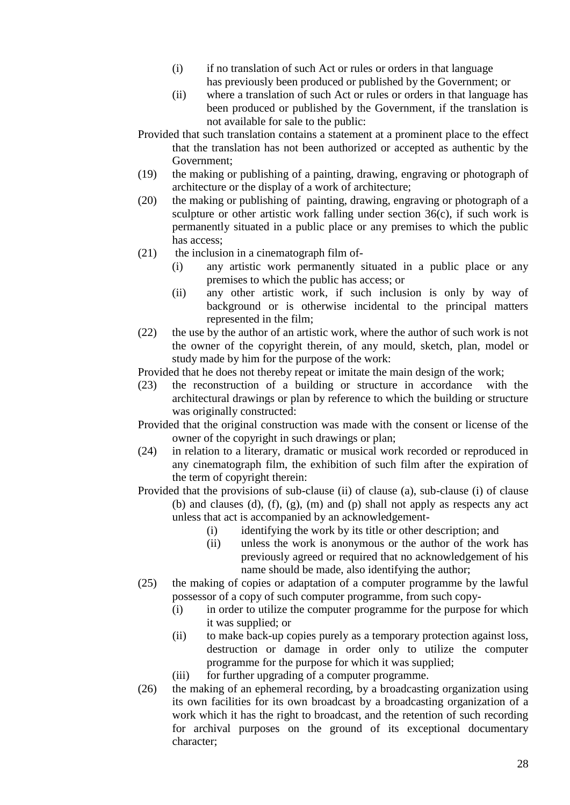- (i) if no translation of such Act or rules or orders in that language has previously been produced or published by the Government; or
- (ii) where a translation of such Act or rules or orders in that language has been produced or published by the Government, if the translation is not available for sale to the public:
- Provided that such translation contains a statement at a prominent place to the effect that the translation has not been authorized or accepted as authentic by the Government;
- (19) the making or publishing of a painting, drawing, engraving or photograph of architecture or the display of a work of architecture;
- (20) the making or publishing of painting, drawing, engraving or photograph of a sculpture or other artistic work falling under section 36(c), if such work is permanently situated in a public place or any premises to which the public has access;
- $(21)$  the inclusion in a cinematograph film of-
	- (i) any artistic work permanently situated in a public place or any premises to which the public has access; or
	- (ii) any other artistic work, if such inclusion is only by way of background or is otherwise incidental to the principal matters represented in the film;
- (22) the use by the author of an artistic work, where the author of such work is not the owner of the copyright therein, of any mould, sketch, plan, model or study made by him for the purpose of the work:

Provided that he does not thereby repeat or imitate the main design of the work;

- (23) the reconstruction of a building or structure in accordance with the architectural drawings or plan by reference to which the building or structure was originally constructed:
- Provided that the original construction was made with the consent or license of the owner of the copyright in such drawings or plan;
- (24) in relation to a literary, dramatic or musical work recorded or reproduced in any cinematograph film, the exhibition of such film after the expiration of the term of copyright therein:
- Provided that the provisions of sub-clause (ii) of clause (a), sub-clause (i) of clause (b) and clauses (d),  $(f)$ ,  $(g)$ ,  $(m)$  and  $(p)$  shall not apply as respects any act unless that act is accompanied by an acknowledgement-
	- (i) identifying the work by its title or other description; and
	- (ii) unless the work is anonymous or the author of the work has previously agreed or required that no acknowledgement of his name should be made, also identifying the author;
- (25) the making of copies or adaptation of a computer programme by the lawful possessor of a copy of such computer programme, from such copy-
	- (i) in order to utilize the computer programme for the purpose for which it was supplied; or
	- (ii) to make back-up copies purely as a temporary protection against loss, destruction or damage in order only to utilize the computer programme for the purpose for which it was supplied;
	- (iii) for further upgrading of a computer programme.
- (26) the making of an ephemeral recording, by a broadcasting organization using its own facilities for its own broadcast by a broadcasting organization of a work which it has the right to broadcast, and the retention of such recording for archival purposes on the ground of its exceptional documentary character;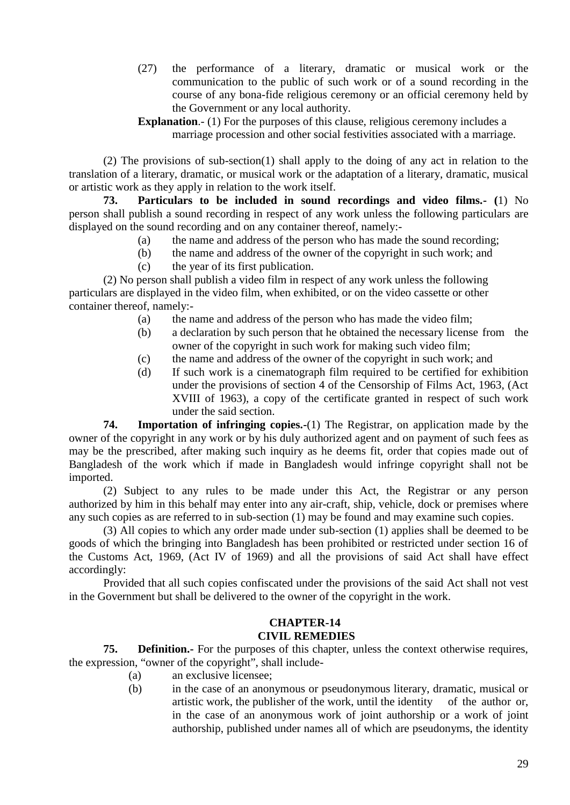- (27) the performance of a literary, dramatic or musical work or the communication to the public of such work or of a sound recording in the course of any bona-fide religious ceremony or an official ceremony held by the Government or any local authority.
- **Explanation.** (1) For the purposes of this clause, religious ceremony includes a marriage procession and other social festivities associated with a marriage.

(2) The provisions of sub-section(1) shall apply to the doing of any act in relation to the translation of a literary, dramatic, or musical work or the adaptation of a literary, dramatic, musical or artistic work as they apply in relation to the work itself.

**73. Particulars to be included in sound recordings and video films.- (**1) No person shall publish a sound recording in respect of any work unless the following particulars are displayed on the sound recording and on any container thereof, namely:-

- (a) the name and address of the person who has made the sound recording;
- (b) the name and address of the owner of the copyright in such work; and
- (c) the year of its first publication.

(2) No person shall publish a video film in respect of any work unless the following particulars are displayed in the video film, when exhibited, or on the video cassette or other container thereof, namely:-

- (a) the name and address of the person who has made the video film;
- (b) a declaration by such person that he obtained the necessary license from the owner of the copyright in such work for making such video film;
- (c) the name and address of the owner of the copyright in such work; and
- (d) If such work is a cinematograph film required to be certified for exhibition under the provisions of section 4 of the Censorship of Films Act, 1963, (Act XVIII of 1963), a copy of the certificate granted in respect of such work under the said section.

**74. Importation of infringing copies.-**(1) The Registrar, on application made by the owner of the copyright in any work or by his duly authorized agent and on payment of such fees as may be the prescribed, after making such inquiry as he deems fit, order that copies made out of Bangladesh of the work which if made in Bangladesh would infringe copyright shall not be imported.

(2) Subject to any rules to be made under this Act, the Registrar or any person authorized by him in this behalf may enter into any air-craft, ship, vehicle, dock or premises where any such copies as are referred to in sub-section (1) may be found and may examine such copies.

(3) All copies to which any order made under sub-section (1) applies shall be deemed to be goods of which the bringing into Bangladesh has been prohibited or restricted under section 16 of the Customs Act, 1969, (Act IV of 1969) and all the provisions of said Act shall have effect accordingly:

Provided that all such copies confiscated under the provisions of the said Act shall not vest in the Government but shall be delivered to the owner of the copyright in the work.

#### **CHAPTER-14 CIVIL REMEDIES**

**75. Definition.-** For the purposes of this chapter, unless the context otherwise requires, the expression, "owner of the copyright", shall include-

- (a) an exclusive licensee;
- (b) in the case of an anonymous or pseudonymous literary, dramatic, musical or artistic work, the publisher of the work, until the identity of the author or, in the case of an anonymous work of joint authorship or a work of joint authorship, published under names all of which are pseudonyms, the identity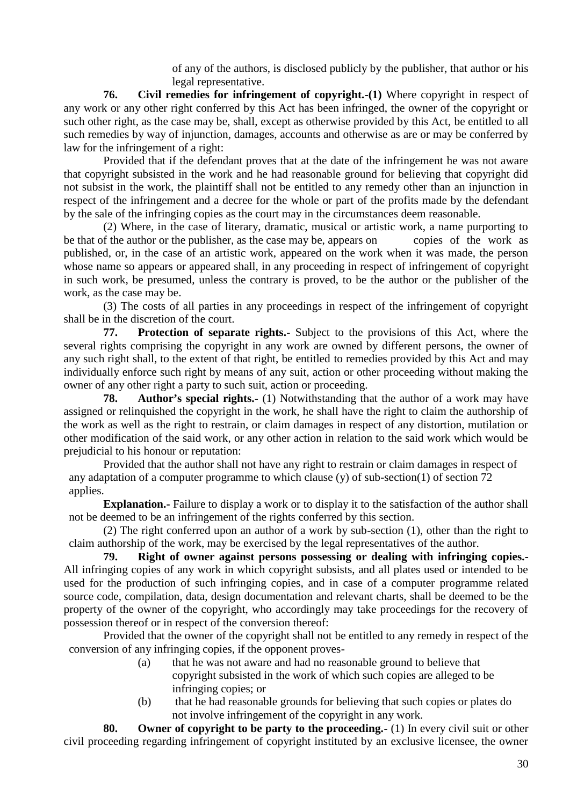of any of the authors, is disclosed publicly by the publisher, that author or his legal representative.

**76. Civil remedies for infringement of copyright.-(1)** Where copyright in respect of any work or any other right conferred by this Act has been infringed, the owner of the copyright or such other right, as the case may be, shall, except as otherwise provided by this Act, be entitled to all such remedies by way of injunction, damages, accounts and otherwise as are or may be conferred by law for the infringement of a right:

Provided that if the defendant proves that at the date of the infringement he was not aware that copyright subsisted in the work and he had reasonable ground for believing that copyright did not subsist in the work, the plaintiff shall not be entitled to any remedy other than an injunction in respect of the infringement and a decree for the whole or part of the profits made by the defendant by the sale of the infringing copies as the court may in the circumstances deem reasonable.

(2) Where, in the case of literary, dramatic, musical or artistic work, a name purporting to be that of the author or the publisher, as the case may be, appears on copies of the work as published, or, in the case of an artistic work, appeared on the work when it was made, the person whose name so appears or appeared shall, in any proceeding in respect of infringement of copyright in such work, be presumed, unless the contrary is proved, to be the author or the publisher of the work, as the case may be.

(3) The costs of all parties in any proceedings in respect of the infringement of copyright shall be in the discretion of the court.

**77. Protection of separate rights.-** Subject to the provisions of this Act, where the several rights comprising the copyright in any work are owned by different persons, the owner of any such right shall, to the extent of that right, be entitled to remedies provided by this Act and may individually enforce such right by means of any suit, action or other proceeding without making the owner of any other right a party to such suit, action or proceeding.

**78. Author's special rights.-** (1) Notwithstanding that the author of a work may have assigned or relinquished the copyright in the work, he shall have the right to claim the authorship of the work as well as the right to restrain, or claim damages in respect of any distortion, mutilation or other modification of the said work, or any other action in relation to the said work which would be prejudicial to his honour or reputation:

Provided that the author shall not have any right to restrain or claim damages in respect of any adaptation of a computer programme to which clause (y) of sub-section(1) of section 72 applies.

**Explanation.**- Failure to display a work or to display it to the satisfaction of the author shall not be deemed to be an infringement of the rights conferred by this section.

(2) The right conferred upon an author of a work by sub-section (1), other than the right to claim authorship of the work, may be exercised by the legal representatives of the author.

**79. Right of owner against persons possessing or dealing with infringing copies.-** All infringing copies of any work in which copyright subsists, and all plates used or intended to be used for the production of such infringing copies, and in case of a computer programme related source code, compilation, data, design documentation and relevant charts, shall be deemed to be the property of the owner of the copyright, who accordingly may take proceedings for the recovery of possession thereof or in respect of the conversion thereof:

Provided that the owner of the copyright shall not be entitled to any remedy in respect of the conversion of any infringing copies, if the opponent proves-

- (a) that he was not aware and had no reasonable ground to believe that copyright subsisted in the work of which such copies are alleged to be infringing copies; or
- (b) that he had reasonable grounds for believing that such copies or plates do not involve infringement of the copyright in any work.

**80. Owner of copyright to be party to the proceeding.-** (1) In every civil suit or other civil proceeding regarding infringement of copyright instituted by an exclusive licensee, the owner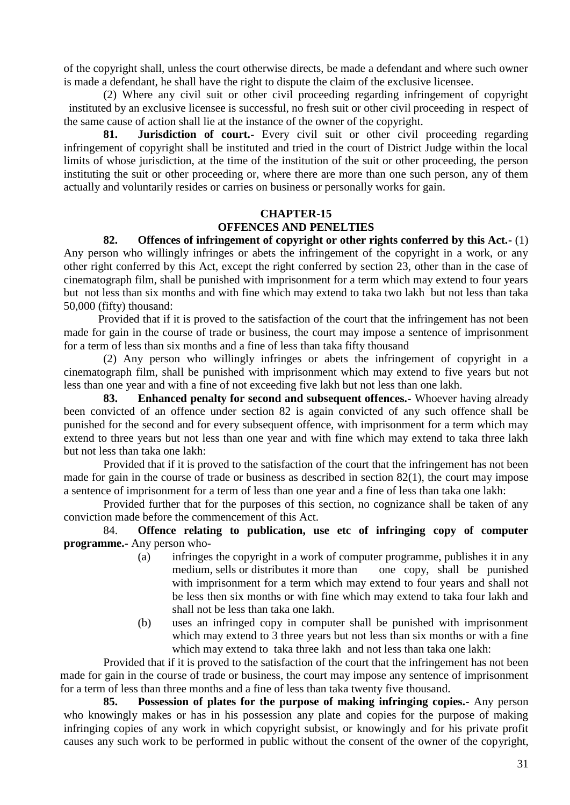of the copyright shall, unless the court otherwise directs, be made a defendant and where such owner is made a defendant, he shall have the right to dispute the claim of the exclusive licensee.

(2) Where any civil suit or other civil proceeding regarding infringement of copyright instituted by an exclusive licensee is successful, no fresh suit or other civil proceeding in respect of the same cause of action shall lie at the instance of the owner of the copyright.

**81. Jurisdiction of court.-** Every civil suit or other civil proceeding regarding infringement of copyright shall be instituted and tried in the court of District Judge within the local limits of whose jurisdiction, at the time of the institution of the suit or other proceeding, the person instituting the suit or other proceeding or, where there are more than one such person, any of them actually and voluntarily resides or carries on business or personally works for gain.

## **CHAPTER-15 OFFENCES AND PENELTIES**

#### **82. Offences of infringement of copyright or other rights conferred by this Act.-** (1)

Any person who willingly infringes or abets the infringement of the copyright in a work, or any other right conferred by this Act, except the right conferred by section 23, other than in the case of cinematograph film, shall be punished with imprisonment for a term which may extend to four years but not less than six months and with fine which may extend to taka two lakh but not less than taka 50,000 (fifty) thousand:

Provided that if it is proved to the satisfaction of the court that the infringement has not been made for gain in the course of trade or business, the court may impose a sentence of imprisonment for a term of less than six months and a fine of less than taka fifty thousand

(2) Any person who willingly infringes or abets the infringement of copyright in a cinematograph film, shall be punished with imprisonment which may extend to five years but not less than one year and with a fine of not exceeding five lakh but not less than one lakh.

**83. Enhanced penalty for second and subsequent offences.-** Whoever having already been convicted of an offence under section 82 is again convicted of any such offence shall be punished for the second and for every subsequent offence, with imprisonment for a term which may extend to three years but not less than one year and with fine which may extend to taka three lakh but not less than taka one lakh:

Provided that if it is proved to the satisfaction of the court that the infringement has not been made for gain in the course of trade or business as described in section 82(1), the court may impose a sentence of imprisonment for a term of less than one year and a fine of less than taka one lakh:

Provided further that for the purposes of this section, no cognizance shall be taken of any conviction made before the commencement of this Act.

84. **Offence relating to publication, use etc of infringing copy of computer programme.-** Any person who-

- (a) infringes the copyright in a work of computer programme, publishes it in any medium, sells or distributes it more than one copy, shall be punished with imprisonment for a term which may extend to four years and shall not be less then six months or with fine which may extend to taka four lakh and shall not be less than taka one lakh.
- (b) uses an infringed copy in computer shall be punished with imprisonment which may extend to 3 three years but not less than six months or with a fine which may extend to taka three lakh and not less than taka one lakh:

Provided that if it is proved to the satisfaction of the court that the infringement has not been made for gain in the course of trade or business, the court may impose any sentence of imprisonment for a term of less than three months and a fine of less than taka twenty five thousand.

**85. Possession of plates for the purpose of making infringing copies.-** Any person who knowingly makes or has in his possession any plate and copies for the purpose of making infringing copies of any work in which copyright subsist, or knowingly and for his private profit causes any such work to be performed in public without the consent of the owner of the copyright,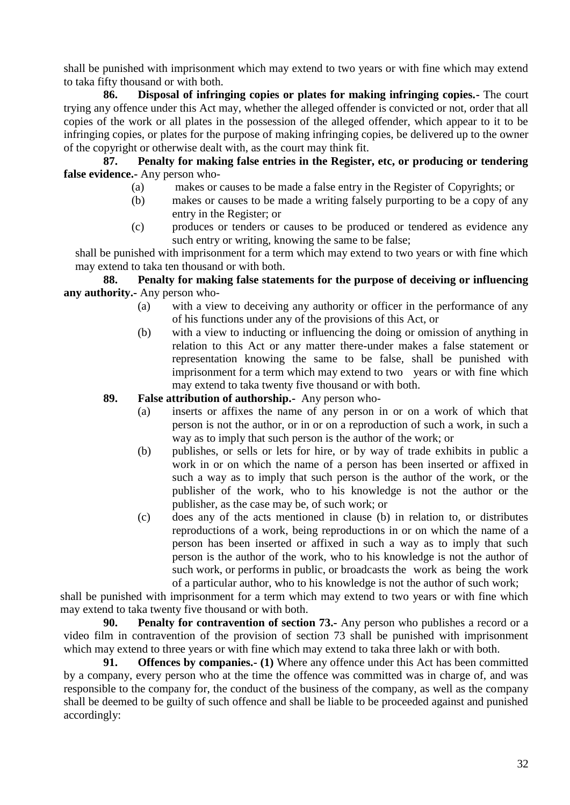shall be punished with imprisonment which may extend to two years or with fine which may extend to taka fifty thousand or with both.

**86. Disposal of infringing copies or plates for making infringing copies.-** The court trying any offence under this Act may, whether the alleged offender is convicted or not, order that all copies of the work or all plates in the possession of the alleged offender, which appear to it to be infringing copies, or plates for the purpose of making infringing copies, be delivered up to the owner of the copyright or otherwise dealt with, as the court may think fit.

**87. Penalty for making false entries in the Register, etc, or producing or tendering false evidence.-** Any person who-

- (a) makes or causes to be made a false entry in the Register of Copyrights; or
- (b) makes or causes to be made a writing falsely purporting to be a copy of any entry in the Register; or
- (c) produces or tenders or causes to be produced or tendered as evidence any such entry or writing, knowing the same to be false;

shall be punished with imprisonment for a term which may extend to two years or with fine which may extend to taka ten thousand or with both.

## **88. Penalty for making false statements for the purpose of deceiving or influencing any authority.-** Any person who-

- (a) with a view to deceiving any authority or officer in the performance of any of his functions under any of the provisions of this Act, or
- (b) with a view to inducting or influencing the doing or omission of anything in relation to this Act or any matter there-under makes a false statement or representation knowing the same to be false, shall be punished with imprisonment for a term which may extend to two years or with fine which may extend to taka twenty five thousand or with both.

## **89. False attribution of authorship.-** Any person who-

- (a) inserts or affixes the name of any person in or on a work of which that person is not the author, or in or on a reproduction of such a work, in such a way as to imply that such person is the author of the work; or
- (b) publishes, or sells or lets for hire, or by way of trade exhibits in public a work in or on which the name of a person has been inserted or affixed in such a way as to imply that such person is the author of the work, or the publisher of the work, who to his knowledge is not the author or the publisher, as the case may be, of such work; or
- (c) does any of the acts mentioned in clause (b) in relation to, or distributes reproductions of a work, being reproductions in or on which the name of a person has been inserted or affixed in such a way as to imply that such person is the author of the work, who to his knowledge is not the author of such work, or performs in public, or broadcasts the work as being the work of a particular author, who to his knowledge is not the author of such work;

shall be punished with imprisonment for a term which may extend to two years or with fine which may extend to taka twenty five thousand or with both.

**90. Penalty for contravention of section 73.-** Any person who publishes a record or a video film in contravention of the provision of section 73 shall be punished with imprisonment which may extend to three years or with fine which may extend to taka three lakh or with both.

**91. Offences by companies.- (1)** Where any offence under this Act has been committed by a company, every person who at the time the offence was committed was in charge of, and was responsible to the company for, the conduct of the business of the company, as well as the company shall be deemed to be guilty of such offence and shall be liable to be proceeded against and punished accordingly: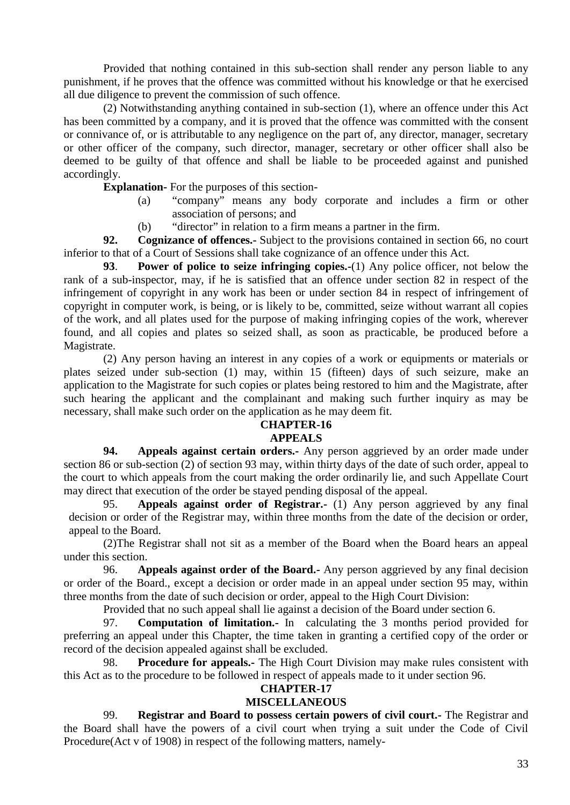Provided that nothing contained in this sub-section shall render any person liable to any punishment, if he proves that the offence was committed without his knowledge or that he exercised all due diligence to prevent the commission of such offence.

(2) Notwithstanding anything contained in sub-section (1), where an offence under this Act has been committed by a company, and it is proved that the offence was committed with the consent or connivance of, or is attributable to any negligence on the part of, any director, manager, secretary or other officer of the company, such director, manager, secretary or other officer shall also be deemed to be guilty of that offence and shall be liable to be proceeded against and punished accordingly.

**Explanation-** For the purposes of this section-

- (a) "company" means any body corporate and includes a firm or other association of persons; and
- (b) "director" in relation to a firm means a partner in the firm.

**92. Cognizance of offences.-** Subject to the provisions contained in section 66, no court inferior to that of a Court of Sessions shall take cognizance of an offence under this Act.

**93**. **Power of police to seize infringing copies.-**(1) Any police officer, not below the rank of a sub-inspector, may, if he is satisfied that an offence under section 82 in respect of the infringement of copyright in any work has been or under section 84 in respect of infringement of copyright in computer work, is being, or is likely to be, committed, seize without warrant all copies of the work, and all plates used for the purpose of making infringing copies of the work, wherever found, and all copies and plates so seized shall, as soon as practicable, be produced before a Magistrate.

(2) Any person having an interest in any copies of a work or equipments or materials or plates seized under sub-section (1) may, within 15 (fifteen) days of such seizure, make an application to the Magistrate for such copies or plates being restored to him and the Magistrate, after such hearing the applicant and the complainant and making such further inquiry as may be necessary, shall make such order on the application as he may deem fit.

## **CHAPTER-16**

## **APPEALS**

**94. Appeals against certain orders.-** Any person aggrieved by an order made under section 86 or sub-section (2) of section 93 may, within thirty days of the date of such order, appeal to the court to which appeals from the court making the order ordinarily lie, and such Appellate Court may direct that execution of the order be stayed pending disposal of the appeal.

95. **Appeals against order of Registrar.-** (1) Any person aggrieved by any final decision or order of the Registrar may, within three months from the date of the decision or order, appeal to the Board.

(2)The Registrar shall not sit as a member of the Board when the Board hears an appeal under this section.

96. **Appeals against order of the Board.-** Any person aggrieved by any final decision or order of the Board., except a decision or order made in an appeal under section 95 may, within three months from the date of such decision or order, appeal to the High Court Division:

Provided that no such appeal shall lie against a decision of the Board under section 6.

97. **Computation of limitation.-** In calculating the 3 months period provided for preferring an appeal under this Chapter, the time taken in granting a certified copy of the order or record of the decision appealed against shall be excluded.

98. **Procedure for appeals.-** The High Court Division may make rules consistent with this Act as to the procedure to be followed in respect of appeals made to it under section 96.

## **CHAPTER-17**

## **MISCELLANEOUS**

99. **Registrar and Board to possess certain powers of civil court.-** The Registrar and the Board shall have the powers of a civil court when trying a suit under the Code of Civil Procedure(Act v of 1908) in respect of the following matters, namely-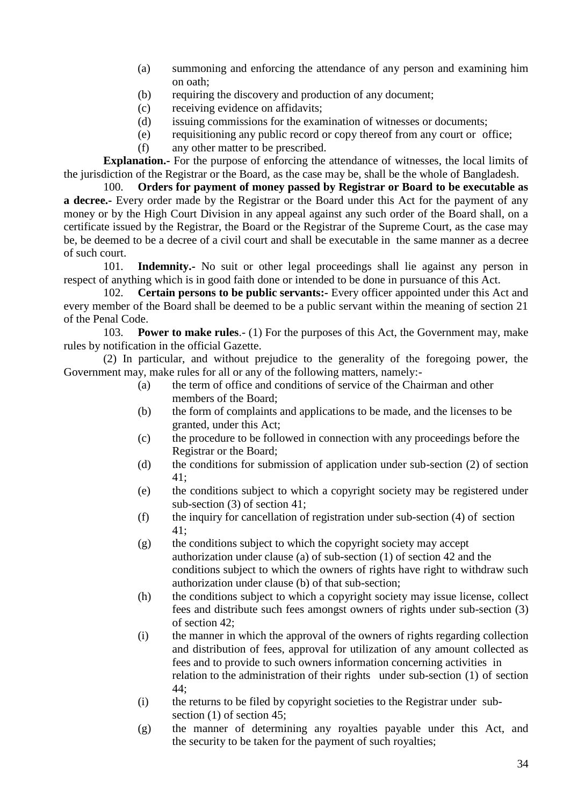- (a) summoning and enforcing the attendance of any person and examining him on oath;
- (b) requiring the discovery and production of any document;
- (c) receiving evidence on affidavits;
- (d) issuing commissions for the examination of witnesses or documents;
- (e) requisitioning any public record or copy thereof from any court or office;
- (f) any other matter to be prescribed.

**Explanation.-** For the purpose of enforcing the attendance of witnesses, the local limits of the jurisdiction of the Registrar or the Board, as the case may be, shall be the whole of Bangladesh.

100. **Orders for payment of money passed by Registrar or Board to be executable as a decree.-** Every order made by the Registrar or the Board under this Act for the payment of any money or by the High Court Division in any appeal against any such order of the Board shall, on a certificate issued by the Registrar, the Board or the Registrar of the Supreme Court, as the case may be, be deemed to be a decree of a civil court and shall be executable in the same manner as a decree of such court.

101. **Indemnity.-** No suit or other legal proceedings shall lie against any person in respect of anything which is in good faith done or intended to be done in pursuance of this Act.

102. **Certain persons to be public servants:-** Every officer appointed under this Act and every member of the Board shall be deemed to be a public servant within the meaning of section 21 of the Penal Code.

103. **Power to make rules**.- (1) For the purposes of this Act, the Government may, make rules by notification in the official Gazette.

(2) In particular, and without prejudice to the generality of the foregoing power, the Government may, make rules for all or any of the following matters, namely:-

- (a) the term of office and conditions of service of the Chairman and other members of the Board;
- (b) the form of complaints and applications to be made, and the licenses to be granted, under this Act;
- (c) the procedure to be followed in connection with any proceedings before the Registrar or the Board;
- (d) the conditions for submission of application under sub-section (2) of section 41;
- (e) the conditions subject to which a copyright society may be registered under sub-section (3) of section 41;
- (f) the inquiry for cancellation of registration under sub-section (4) of section 41;
- (g) the conditions subject to which the copyright society may accept authorization under clause (a) of sub-section (1) of section 42 and the conditions subject to which the owners of rights have right to withdraw such authorization under clause (b) of that sub-section;
- (h) the conditions subject to which a copyright society may issue license, collect fees and distribute such fees amongst owners of rights under sub-section (3) of section 42;
- (i) the manner in which the approval of the owners of rights regarding collection and distribution of fees, approval for utilization of any amount collected as fees and to provide to such owners information concerning activities in relation to the administration of their rights under sub-section (1) of section 44;
- (i) the returns to be filed by copyright societies to the Registrar under sub section (1) of section 45;
- (g) the manner of determining any royalties payable under this Act, and the security to be taken for the payment of such royalties;